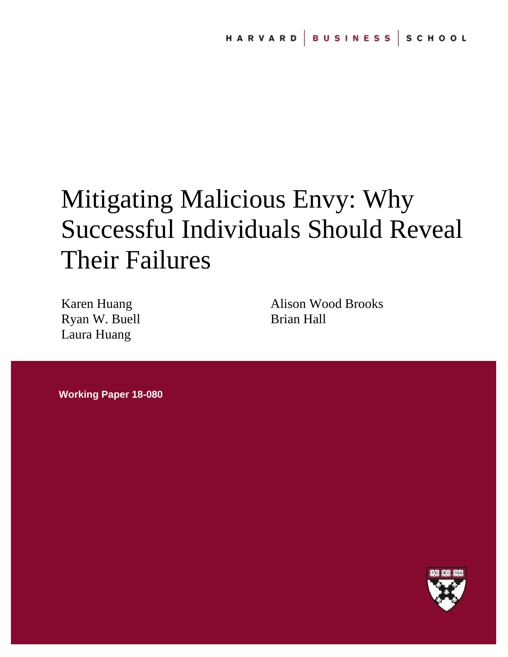# Mitigating Malicious Envy: Why Successful Individuals Should Reveal Their Failures

Karen Huang Ryan W. Buell Laura Huang

Alison Wood Brooks Brian Hall

**Working Paper 18-080**

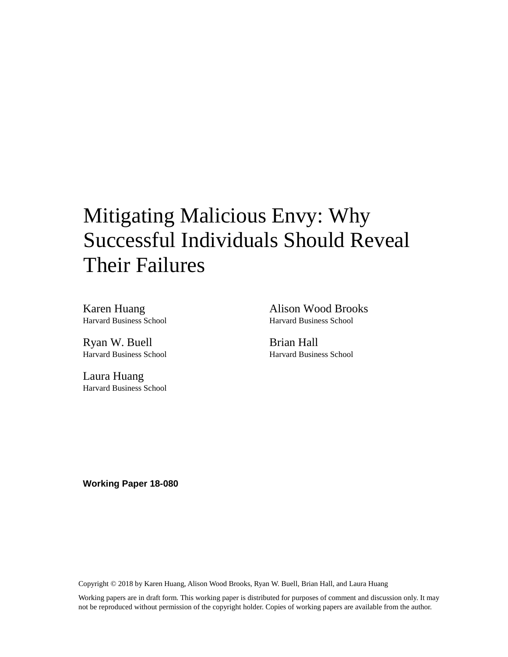# Mitigating Malicious Envy: Why Successful Individuals Should Reveal Their Failures

Karen Huang Harvard Business School

Ryan W. Buell Harvard Business School

Laura Huang Harvard Business School Alison Wood Brooks Harvard Business School

Brian Hall Harvard Business School

**Working Paper 18-080**

Copyright © 2018 by Karen Huang, Alison Wood Brooks, Ryan W. Buell, Brian Hall, and Laura Huang

Working papers are in draft form. This working paper is distributed for purposes of comment and discussion only. It may not be reproduced without permission of the copyright holder. Copies of working papers are available from the author.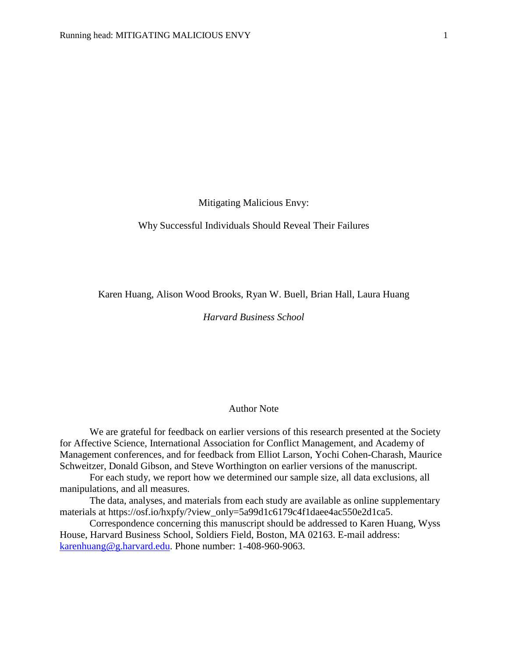Mitigating Malicious Envy:

Why Successful Individuals Should Reveal Their Failures

Karen Huang, Alison Wood Brooks, Ryan W. Buell, Brian Hall, Laura Huang

# *Harvard Business School*

# Author Note

We are grateful for feedback on earlier versions of this research presented at the Society for Affective Science, International Association for Conflict Management, and Academy of Management conferences, and for feedback from Elliot Larson, Yochi Cohen-Charash, Maurice Schweitzer, Donald Gibson, and Steve Worthington on earlier versions of the manuscript.

For each study, we report how we determined our sample size, all data exclusions, all manipulations, and all measures.

The data, analyses, and materials from each study are available as online supplementary materials at https://osf.io/hxpfy/?view\_only=5a99d1c6179c4f1daee4ac550e2d1ca5.

Correspondence concerning this manuscript should be addressed to Karen Huang, Wyss House, Harvard Business School, Soldiers Field, Boston, MA 02163. E-mail address: [karenhuang@g.harvard.edu.](mailto:karenhuang@g.harvard.edu) Phone number: 1-408-960-9063.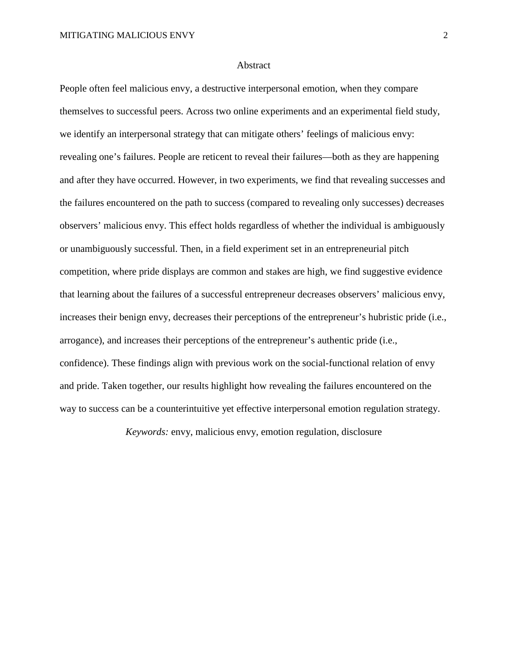#### Abstract

People often feel malicious envy, a destructive interpersonal emotion, when they compare themselves to successful peers. Across two online experiments and an experimental field study, we identify an interpersonal strategy that can mitigate others' feelings of malicious envy: revealing one's failures. People are reticent to reveal their failures—both as they are happening and after they have occurred. However, in two experiments, we find that revealing successes and the failures encountered on the path to success (compared to revealing only successes) decreases observers' malicious envy. This effect holds regardless of whether the individual is ambiguously or unambiguously successful. Then, in a field experiment set in an entrepreneurial pitch competition, where pride displays are common and stakes are high, we find suggestive evidence that learning about the failures of a successful entrepreneur decreases observers' malicious envy, increases their benign envy, decreases their perceptions of the entrepreneur's hubristic pride (i.e., arrogance), and increases their perceptions of the entrepreneur's authentic pride (i.e., confidence). These findings align with previous work on the social-functional relation of envy and pride. Taken together, our results highlight how revealing the failures encountered on the way to success can be a counterintuitive yet effective interpersonal emotion regulation strategy.

*Keywords:* envy, malicious envy, emotion regulation, disclosure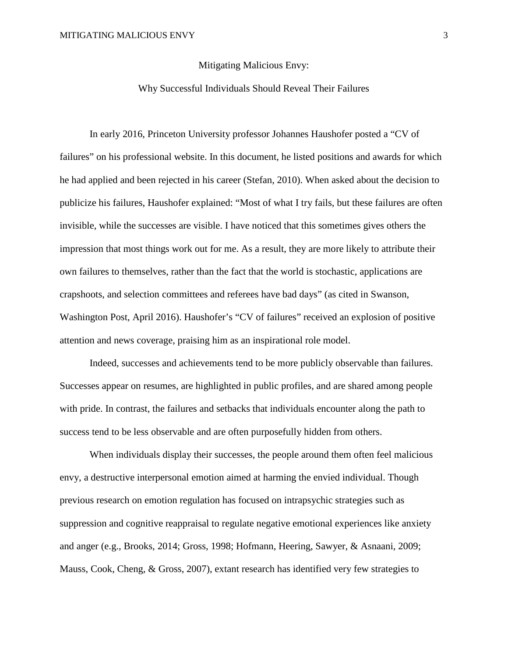#### Mitigating Malicious Envy:

# Why Successful Individuals Should Reveal Their Failures

In early 2016, Princeton University professor Johannes Haushofer posted a "CV of failures" on his professional website. In this document, he listed positions and awards for which he had applied and been rejected in his career (Stefan, 2010). When asked about the decision to publicize his failures, Haushofer explained: "Most of what I try fails, but these failures are often invisible, while the successes are visible. I have noticed that this sometimes gives others the impression that most things work out for me. As a result, they are more likely to attribute their own failures to themselves, rather than the fact that the world is stochastic, applications are crapshoots, and selection committees and referees have bad days" (as cited in Swanson, Washington Post, April 2016). Haushofer's "CV of failures" received an explosion of positive attention and news coverage, praising him as an inspirational role model.

Indeed, successes and achievements tend to be more publicly observable than failures. Successes appear on resumes, are highlighted in public profiles, and are shared among people with pride. In contrast, the failures and setbacks that individuals encounter along the path to success tend to be less observable and are often purposefully hidden from others.

When individuals display their successes, the people around them often feel malicious envy, a destructive interpersonal emotion aimed at harming the envied individual. Though previous research on emotion regulation has focused on intrapsychic strategies such as suppression and cognitive reappraisal to regulate negative emotional experiences like anxiety and anger (e.g., Brooks, 2014; Gross, 1998; Hofmann, Heering, Sawyer, & Asnaani, 2009; Mauss, Cook, Cheng, & Gross, 2007), extant research has identified very few strategies to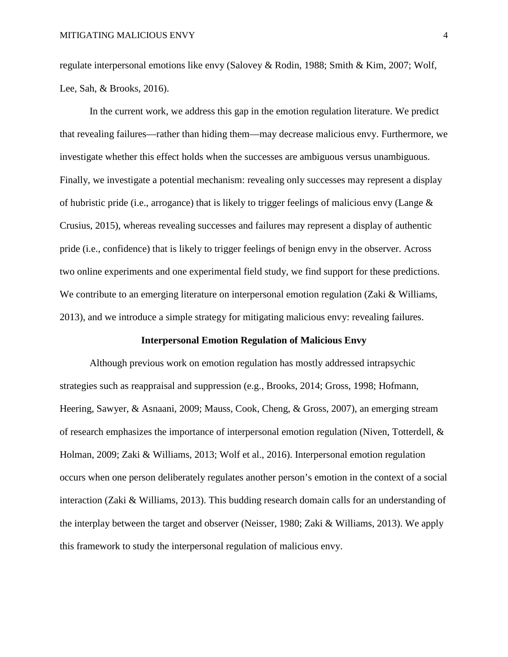regulate interpersonal emotions like envy (Salovey & Rodin, 1988; Smith & Kim, 2007; Wolf, Lee, Sah, & Brooks, 2016).

In the current work, we address this gap in the emotion regulation literature. We predict that revealing failures—rather than hiding them—may decrease malicious envy. Furthermore, we investigate whether this effect holds when the successes are ambiguous versus unambiguous. Finally, we investigate a potential mechanism: revealing only successes may represent a display of hubristic pride (i.e., arrogance) that is likely to trigger feelings of malicious envy (Lange & Crusius, 2015), whereas revealing successes and failures may represent a display of authentic pride (i.e., confidence) that is likely to trigger feelings of benign envy in the observer. Across two online experiments and one experimental field study, we find support for these predictions. We contribute to an emerging literature on interpersonal emotion regulation (Zaki & Williams, 2013), and we introduce a simple strategy for mitigating malicious envy: revealing failures.

#### **Interpersonal Emotion Regulation of Malicious Envy**

Although previous work on emotion regulation has mostly addressed intrapsychic strategies such as reappraisal and suppression (e.g., Brooks, 2014; Gross, 1998; Hofmann, Heering, Sawyer, & Asnaani, 2009; Mauss, Cook, Cheng, & Gross, 2007), an emerging stream of research emphasizes the importance of interpersonal emotion regulation (Niven, Totterdell, & Holman, 2009; Zaki & Williams, 2013; Wolf et al., 2016). Interpersonal emotion regulation occurs when one person deliberately regulates another person's emotion in the context of a social interaction (Zaki & Williams, 2013). This budding research domain calls for an understanding of the interplay between the target and observer (Neisser, 1980; Zaki & Williams, 2013). We apply this framework to study the interpersonal regulation of malicious envy.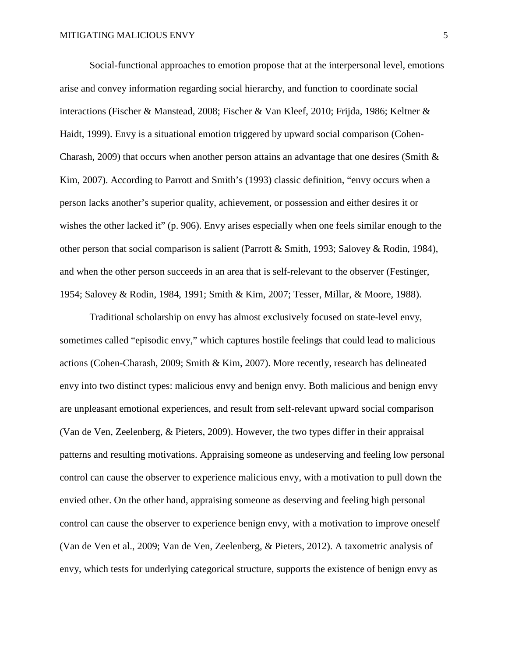Social-functional approaches to emotion propose that at the interpersonal level, emotions arise and convey information regarding social hierarchy, and function to coordinate social interactions (Fischer & Manstead, 2008; Fischer & Van Kleef, 2010; Frijda, 1986; Keltner & Haidt, 1999). Envy is a situational emotion triggered by upward social comparison (Cohen-Charash, 2009) that occurs when another person attains an advantage that one desires (Smith & Kim, 2007). According to Parrott and Smith's (1993) classic definition, "envy occurs when a person lacks another's superior quality, achievement, or possession and either desires it or wishes the other lacked it" (p. 906). Envy arises especially when one feels similar enough to the other person that social comparison is salient (Parrott & Smith, 1993; Salovey & Rodin, 1984), and when the other person succeeds in an area that is self-relevant to the observer (Festinger, 1954; Salovey & Rodin, 1984, 1991; Smith & Kim, 2007; Tesser, Millar, & Moore, 1988).

Traditional scholarship on envy has almost exclusively focused on state-level envy, sometimes called "episodic envy," which captures hostile feelings that could lead to malicious actions (Cohen-Charash, 2009; Smith & Kim, 2007). More recently, research has delineated envy into two distinct types: malicious envy and benign envy. Both malicious and benign envy are unpleasant emotional experiences, and result from self-relevant upward social comparison (Van de Ven, Zeelenberg, & Pieters, 2009). However, the two types differ in their appraisal patterns and resulting motivations. Appraising someone as undeserving and feeling low personal control can cause the observer to experience malicious envy, with a motivation to pull down the envied other. On the other hand, appraising someone as deserving and feeling high personal control can cause the observer to experience benign envy, with a motivation to improve oneself (Van de Ven et al., 2009; Van de Ven, Zeelenberg, & Pieters, 2012). A taxometric analysis of envy, which tests for underlying categorical structure, supports the existence of benign envy as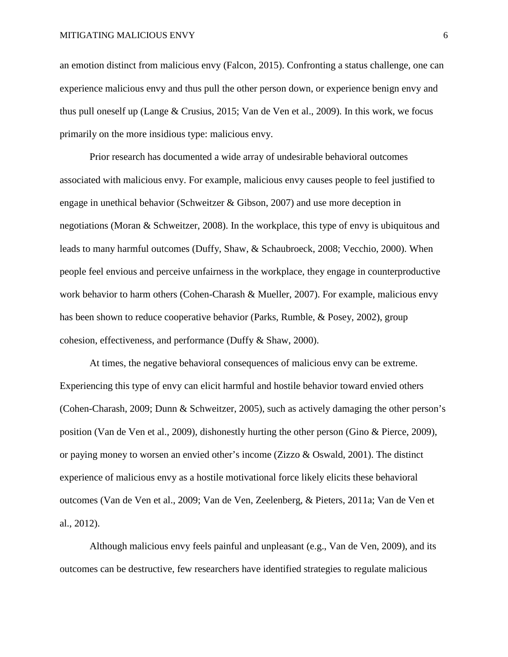an emotion distinct from malicious envy (Falcon, 2015). Confronting a status challenge, one can experience malicious envy and thus pull the other person down, or experience benign envy and thus pull oneself up (Lange & Crusius, 2015; Van de Ven et al., 2009). In this work, we focus primarily on the more insidious type: malicious envy.

Prior research has documented a wide array of undesirable behavioral outcomes associated with malicious envy. For example, malicious envy causes people to feel justified to engage in unethical behavior (Schweitzer & Gibson, 2007) and use more deception in negotiations (Moran & Schweitzer, 2008). In the workplace, this type of envy is ubiquitous and leads to many harmful outcomes (Duffy, Shaw, & Schaubroeck, 2008; Vecchio, 2000). When people feel envious and perceive unfairness in the workplace, they engage in counterproductive work behavior to harm others (Cohen-Charash & Mueller, 2007). For example, malicious envy has been shown to reduce cooperative behavior (Parks, Rumble, & Posey, 2002), group cohesion, effectiveness, and performance (Duffy & Shaw, 2000).

At times, the negative behavioral consequences of malicious envy can be extreme. Experiencing this type of envy can elicit harmful and hostile behavior toward envied others (Cohen-Charash, 2009; Dunn & Schweitzer, 2005), such as actively damaging the other person's position (Van de Ven et al., 2009), dishonestly hurting the other person (Gino & Pierce, 2009), or paying money to worsen an envied other's income (Zizzo  $&$  Oswald, 2001). The distinct experience of malicious envy as a hostile motivational force likely elicits these behavioral outcomes (Van de Ven et al., 2009; Van de Ven, Zeelenberg, & Pieters, 2011a; Van de Ven et al., 2012).

Although malicious envy feels painful and unpleasant (e.g., Van de Ven, 2009), and its outcomes can be destructive, few researchers have identified strategies to regulate malicious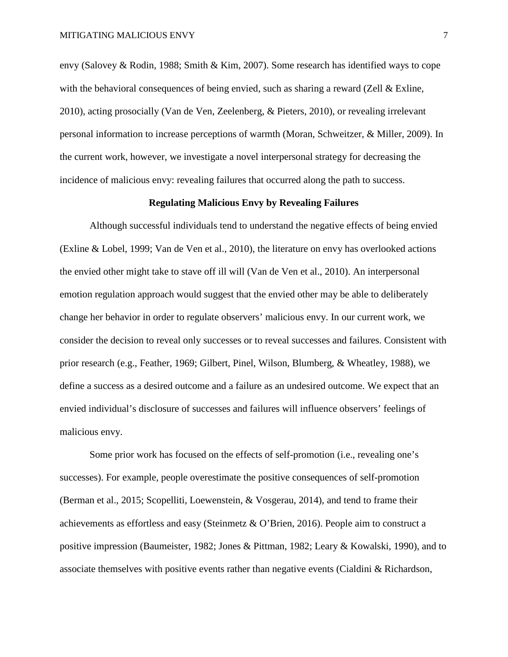envy (Salovey & Rodin, 1988; Smith & Kim, 2007). Some research has identified ways to cope with the behavioral consequences of being envied, such as sharing a reward (Zell  $&$  Exline, 2010), acting prosocially (Van de Ven, Zeelenberg, & Pieters, 2010), or revealing irrelevant personal information to increase perceptions of warmth (Moran, Schweitzer, & Miller, 2009). In the current work, however, we investigate a novel interpersonal strategy for decreasing the incidence of malicious envy: revealing failures that occurred along the path to success.

# **Regulating Malicious Envy by Revealing Failures**

Although successful individuals tend to understand the negative effects of being envied (Exline & Lobel, 1999; Van de Ven et al., 2010), the literature on envy has overlooked actions the envied other might take to stave off ill will (Van de Ven et al., 2010). An interpersonal emotion regulation approach would suggest that the envied other may be able to deliberately change her behavior in order to regulate observers' malicious envy. In our current work, we consider the decision to reveal only successes or to reveal successes and failures. Consistent with prior research (e.g., Feather, 1969; Gilbert, Pinel, Wilson, Blumberg, & Wheatley, 1988), we define a success as a desired outcome and a failure as an undesired outcome. We expect that an envied individual's disclosure of successes and failures will influence observers' feelings of malicious envy.

Some prior work has focused on the effects of self-promotion (i.e., revealing one's successes). For example, people overestimate the positive consequences of self-promotion (Berman et al., 2015; Scopelliti, Loewenstein, & Vosgerau, 2014), and tend to frame their achievements as effortless and easy (Steinmetz & O'Brien, 2016). People aim to construct a positive impression (Baumeister, 1982; Jones & Pittman, 1982; Leary & Kowalski, 1990), and to associate themselves with positive events rather than negative events (Cialdini & Richardson,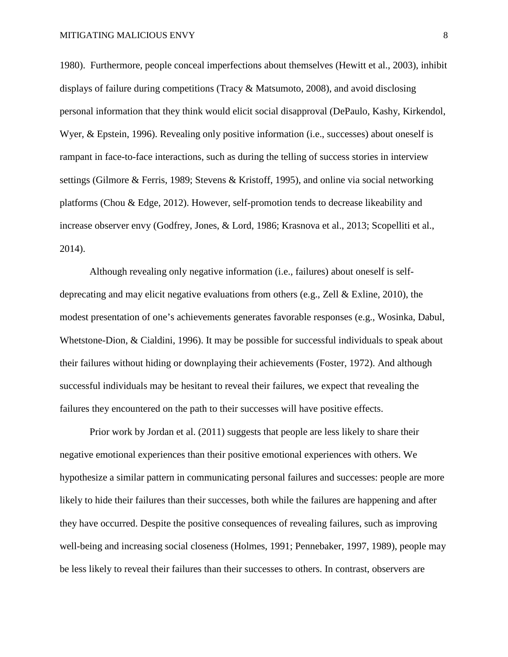1980). Furthermore, people conceal imperfections about themselves (Hewitt et al., 2003), inhibit displays of failure during competitions (Tracy & Matsumoto, 2008), and avoid disclosing personal information that they think would elicit social disapproval (DePaulo, Kashy, Kirkendol, Wyer, & Epstein, 1996). Revealing only positive information (i.e., successes) about oneself is rampant in face-to-face interactions, such as during the telling of success stories in interview settings (Gilmore & Ferris, 1989; Stevens & Kristoff, 1995), and online via social networking platforms (Chou & Edge, 2012). However, self-promotion tends to decrease likeability and increase observer envy (Godfrey, Jones, & Lord, 1986; Krasnova et al., 2013; Scopelliti et al., 2014).

Although revealing only negative information (i.e., failures) about oneself is selfdeprecating and may elicit negative evaluations from others (e.g., Zell & Exline, 2010), the modest presentation of one's achievements generates favorable responses (e.g., Wosinka, Dabul, Whetstone-Dion, & Cialdini, 1996). It may be possible for successful individuals to speak about their failures without hiding or downplaying their achievements (Foster, 1972). And although successful individuals may be hesitant to reveal their failures, we expect that revealing the failures they encountered on the path to their successes will have positive effects.

Prior work by Jordan et al. (2011) suggests that people are less likely to share their negative emotional experiences than their positive emotional experiences with others. We hypothesize a similar pattern in communicating personal failures and successes: people are more likely to hide their failures than their successes, both while the failures are happening and after they have occurred. Despite the positive consequences of revealing failures, such as improving well-being and increasing social closeness (Holmes, 1991; Pennebaker, 1997, 1989), people may be less likely to reveal their failures than their successes to others. In contrast, observers are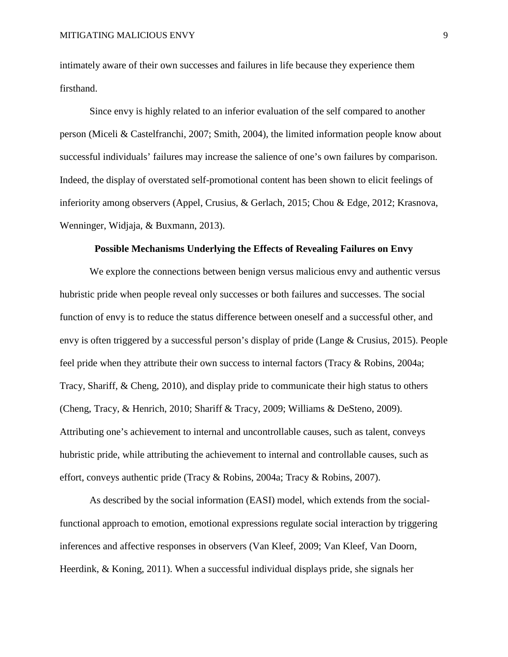intimately aware of their own successes and failures in life because they experience them firsthand.

Since envy is highly related to an inferior evaluation of the self compared to another person (Miceli & Castelfranchi, 2007; Smith, 2004), the limited information people know about successful individuals' failures may increase the salience of one's own failures by comparison. Indeed, the display of overstated self-promotional content has been shown to elicit feelings of inferiority among observers (Appel, Crusius, & Gerlach, 2015; Chou & Edge, 2012; Krasnova, Wenninger, Widjaja, & Buxmann, 2013).

# **Possible Mechanisms Underlying the Effects of Revealing Failures on Envy**

We explore the connections between benign versus malicious envy and authentic versus hubristic pride when people reveal only successes or both failures and successes. The social function of envy is to reduce the status difference between oneself and a successful other, and envy is often triggered by a successful person's display of pride (Lange & Crusius, 2015). People feel pride when they attribute their own success to internal factors (Tracy & Robins, 2004a; Tracy, Shariff, & Cheng, 2010), and display pride to communicate their high status to others (Cheng, Tracy, & Henrich, 2010; Shariff & Tracy, 2009; Williams & DeSteno, 2009). Attributing one's achievement to internal and uncontrollable causes, such as talent, conveys hubristic pride, while attributing the achievement to internal and controllable causes, such as effort, conveys authentic pride (Tracy & Robins, 2004a; Tracy & Robins, 2007).

As described by the social information (EASI) model, which extends from the socialfunctional approach to emotion, emotional expressions regulate social interaction by triggering inferences and affective responses in observers (Van Kleef, 2009; Van Kleef, Van Doorn, Heerdink, & Koning, 2011). When a successful individual displays pride, she signals her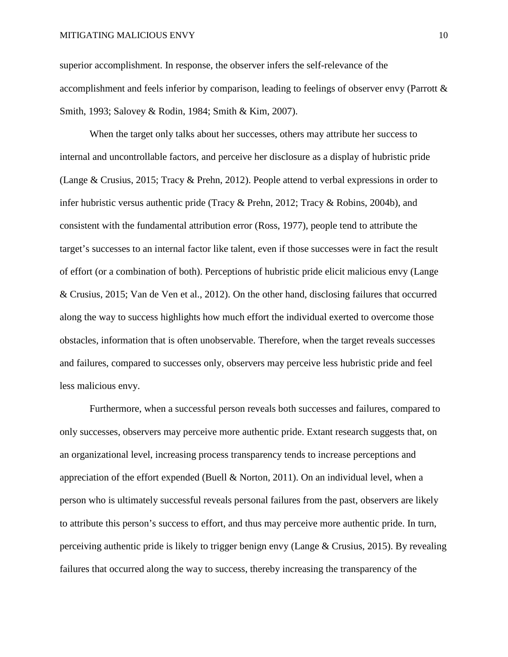superior accomplishment. In response, the observer infers the self-relevance of the accomplishment and feels inferior by comparison, leading to feelings of observer envy (Parrott & Smith, 1993; Salovey & Rodin, 1984; Smith & Kim, 2007).

When the target only talks about her successes, others may attribute her success to internal and uncontrollable factors, and perceive her disclosure as a display of hubristic pride (Lange & Crusius, 2015; Tracy & Prehn, 2012). People attend to verbal expressions in order to infer hubristic versus authentic pride (Tracy & Prehn, 2012; Tracy & Robins, 2004b), and consistent with the fundamental attribution error (Ross, 1977), people tend to attribute the target's successes to an internal factor like talent, even if those successes were in fact the result of effort (or a combination of both). Perceptions of hubristic pride elicit malicious envy (Lange & Crusius, 2015; Van de Ven et al., 2012). On the other hand, disclosing failures that occurred along the way to success highlights how much effort the individual exerted to overcome those obstacles, information that is often unobservable. Therefore, when the target reveals successes and failures, compared to successes only, observers may perceive less hubristic pride and feel less malicious envy.

Furthermore, when a successful person reveals both successes and failures, compared to only successes, observers may perceive more authentic pride. Extant research suggests that, on an organizational level, increasing process transparency tends to increase perceptions and appreciation of the effort expended (Buell & Norton, 2011). On an individual level, when a person who is ultimately successful reveals personal failures from the past, observers are likely to attribute this person's success to effort, and thus may perceive more authentic pride. In turn, perceiving authentic pride is likely to trigger benign envy (Lange & Crusius, 2015). By revealing failures that occurred along the way to success, thereby increasing the transparency of the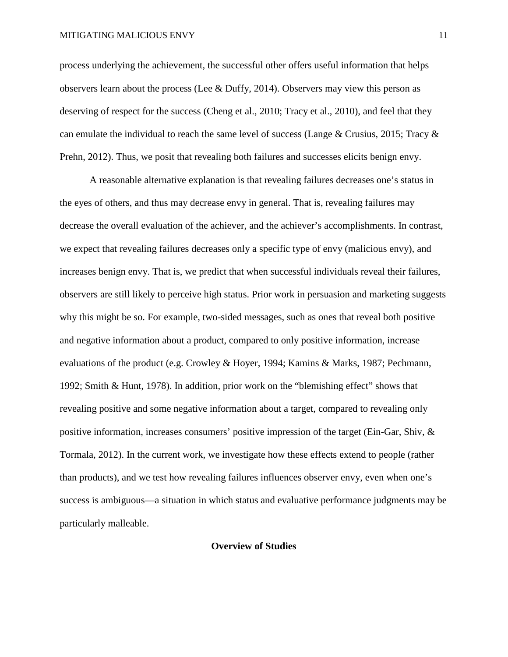process underlying the achievement, the successful other offers useful information that helps observers learn about the process (Lee & Duffy, 2014). Observers may view this person as deserving of respect for the success (Cheng et al., 2010; Tracy et al., 2010), and feel that they can emulate the individual to reach the same level of success (Lange & Crusius, 2015; Tracy  $\&$ Prehn, 2012). Thus, we posit that revealing both failures and successes elicits benign envy.

A reasonable alternative explanation is that revealing failures decreases one's status in the eyes of others, and thus may decrease envy in general. That is, revealing failures may decrease the overall evaluation of the achiever, and the achiever's accomplishments. In contrast, we expect that revealing failures decreases only a specific type of envy (malicious envy), and increases benign envy. That is, we predict that when successful individuals reveal their failures, observers are still likely to perceive high status. Prior work in persuasion and marketing suggests why this might be so. For example, two-sided messages, such as ones that reveal both positive and negative information about a product, compared to only positive information, increase evaluations of the product (e.g. Crowley & Hoyer, 1994; Kamins & Marks, 1987; Pechmann, 1992; Smith & Hunt, 1978). In addition, prior work on the "blemishing effect" shows that revealing positive and some negative information about a target, compared to revealing only positive information, increases consumers' positive impression of the target (Ein-Gar, Shiv, & Tormala, 2012). In the current work, we investigate how these effects extend to people (rather than products), and we test how revealing failures influences observer envy, even when one's success is ambiguous—a situation in which status and evaluative performance judgments may be particularly malleable.

#### **Overview of Studies**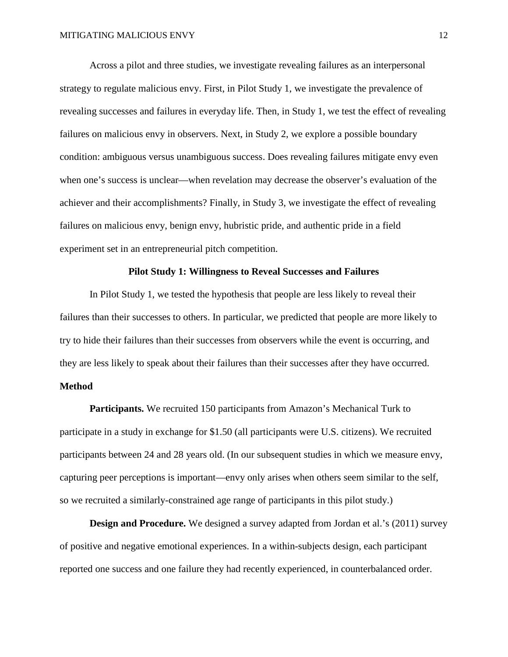Across a pilot and three studies, we investigate revealing failures as an interpersonal strategy to regulate malicious envy. First, in Pilot Study 1, we investigate the prevalence of revealing successes and failures in everyday life. Then, in Study 1, we test the effect of revealing failures on malicious envy in observers. Next, in Study 2, we explore a possible boundary condition: ambiguous versus unambiguous success. Does revealing failures mitigate envy even when one's success is unclear—when revelation may decrease the observer's evaluation of the achiever and their accomplishments? Finally, in Study 3, we investigate the effect of revealing failures on malicious envy, benign envy, hubristic pride, and authentic pride in a field experiment set in an entrepreneurial pitch competition.

#### **Pilot Study 1: Willingness to Reveal Successes and Failures**

In Pilot Study 1, we tested the hypothesis that people are less likely to reveal their failures than their successes to others. In particular, we predicted that people are more likely to try to hide their failures than their successes from observers while the event is occurring, and they are less likely to speak about their failures than their successes after they have occurred.

# **Method**

**Participants.** We recruited 150 participants from Amazon's Mechanical Turk to participate in a study in exchange for \$1.50 (all participants were U.S. citizens). We recruited participants between 24 and 28 years old. (In our subsequent studies in which we measure envy, capturing peer perceptions is important—envy only arises when others seem similar to the self, so we recruited a similarly-constrained age range of participants in this pilot study.)

**Design and Procedure.** We designed a survey adapted from Jordan et al.'s (2011) survey of positive and negative emotional experiences. In a within-subjects design, each participant reported one success and one failure they had recently experienced, in counterbalanced order.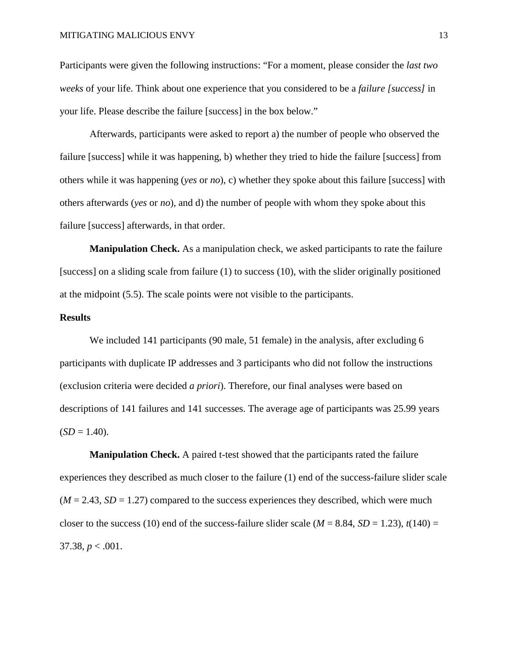Participants were given the following instructions: "For a moment, please consider the *last two weeks* of your life. Think about one experience that you considered to be a *failure [success]* in your life. Please describe the failure [success] in the box below."

Afterwards, participants were asked to report a) the number of people who observed the failure [success] while it was happening, b) whether they tried to hide the failure [success] from others while it was happening (*yes* or *no*), c) whether they spoke about this failure [success] with others afterwards (*yes* or *no*), and d) the number of people with whom they spoke about this failure [success] afterwards, in that order.

**Manipulation Check.** As a manipulation check, we asked participants to rate the failure [success] on a sliding scale from failure (1) to success (10), with the slider originally positioned at the midpoint (5.5). The scale points were not visible to the participants.

# **Results**

We included 141 participants (90 male, 51 female) in the analysis, after excluding 6 participants with duplicate IP addresses and 3 participants who did not follow the instructions (exclusion criteria were decided *a priori*). Therefore, our final analyses were based on descriptions of 141 failures and 141 successes. The average age of participants was 25.99 years  $(SD = 1.40)$ .

**Manipulation Check.** A paired t-test showed that the participants rated the failure experiences they described as much closer to the failure (1) end of the success-failure slider scale  $(M = 2.43, SD = 1.27)$  compared to the success experiences they described, which were much closer to the success (10) end of the success-failure slider scale ( $M = 8.84$ ,  $SD = 1.23$ ),  $t(140) =$ 37.38,  $p < .001$ .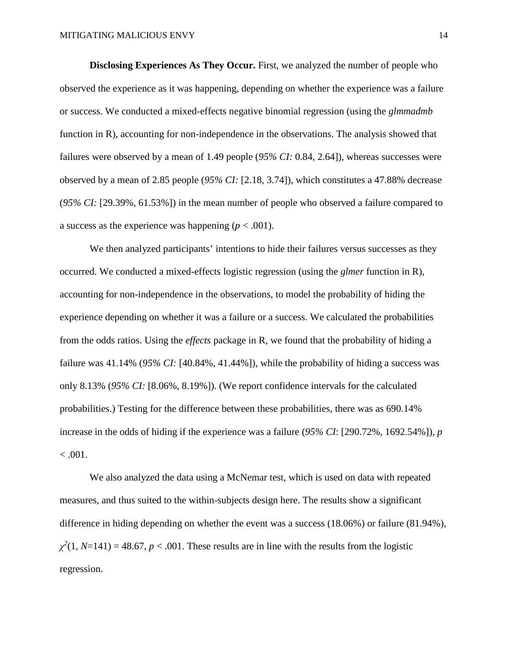**Disclosing Experiences As They Occur.** First, we analyzed the number of people who observed the experience as it was happening, depending on whether the experience was a failure or success. We conducted a mixed-effects negative binomial regression (using the *glmmadmb* function in R), accounting for non-independence in the observations. The analysis showed that failures were observed by a mean of 1.49 people (*95% CI:* 0.84, 2.64]), whereas successes were observed by a mean of 2.85 people (*95% CI:* [2.18, 3.74]), which constitutes a 47.88% decrease (*95% CI:* [29.39%, 61.53%]) in the mean number of people who observed a failure compared to a success as the experience was happening  $(p < .001)$ .

We then analyzed participants' intentions to hide their failures versus successes as they occurred. We conducted a mixed-effects logistic regression (using the *glmer* function in R), accounting for non-independence in the observations, to model the probability of hiding the experience depending on whether it was a failure or a success. We calculated the probabilities from the odds ratios. Using the *effects* package in R, we found that the probability of hiding a failure was 41.14% (*95% CI:* [40.84%, 41.44%]), while the probability of hiding a success was only 8.13% (*95% CI:* [8.06%, 8.19%]). (We report confidence intervals for the calculated probabilities.) Testing for the difference between these probabilities, there was as 690.14% increase in the odds of hiding if the experience was a failure (*95% CI*: [290.72%, 1692.54%]), *p*  $< .001.$ 

We also analyzed the data using a McNemar test, which is used on data with repeated measures, and thus suited to the within-subjects design here. The results show a significant difference in hiding depending on whether the event was a success (18.06%) or failure (81.94%),  $\chi^2(1, N=141) = 48.67, p < .001$ . These results are in line with the results from the logistic regression.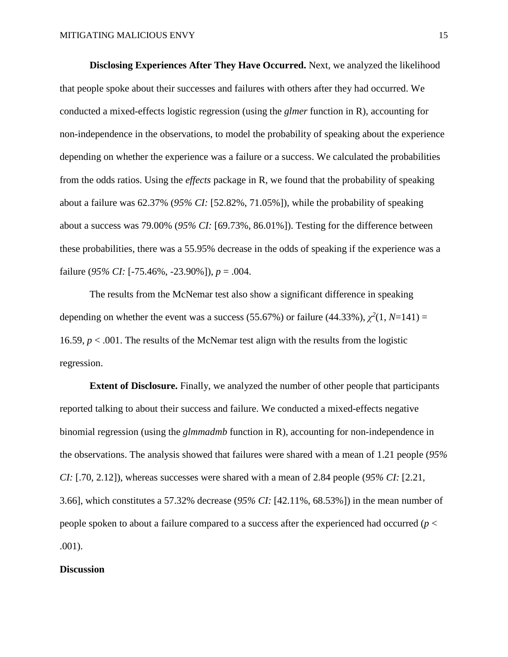**Disclosing Experiences After They Have Occurred.** Next, we analyzed the likelihood that people spoke about their successes and failures with others after they had occurred. We conducted a mixed-effects logistic regression (using the *glmer* function in R), accounting for non-independence in the observations, to model the probability of speaking about the experience depending on whether the experience was a failure or a success. We calculated the probabilities from the odds ratios. Using the *effects* package in R, we found that the probability of speaking about a failure was 62.37% (*95% CI:* [52.82%, 71.05%]), while the probability of speaking about a success was 79.00% (*95% CI:* [69.73%, 86.01%]). Testing for the difference between these probabilities, there was a 55.95% decrease in the odds of speaking if the experience was a failure (*95% CI:* [-75.46%, -23.90%]), *p* = .004.

The results from the McNemar test also show a significant difference in speaking depending on whether the event was a success (55.67%) or failure (44.33%),  $\chi^2(1, N=141) =$ 16.59, *p* < .001. The results of the McNemar test align with the results from the logistic regression.

**Extent of Disclosure.** Finally, we analyzed the number of other people that participants reported talking to about their success and failure. We conducted a mixed-effects negative binomial regression (using the *glmmadmb* function in R), accounting for non-independence in the observations. The analysis showed that failures were shared with a mean of 1.21 people (*95% CI:* [.70, 2.12]), whereas successes were shared with a mean of 2.84 people (*95% CI:* [2.21, 3.66], which constitutes a 57.32% decrease (*95% CI:* [42.11%, 68.53%]) in the mean number of people spoken to about a failure compared to a success after the experienced had occurred (*p* < .001).

#### **Discussion**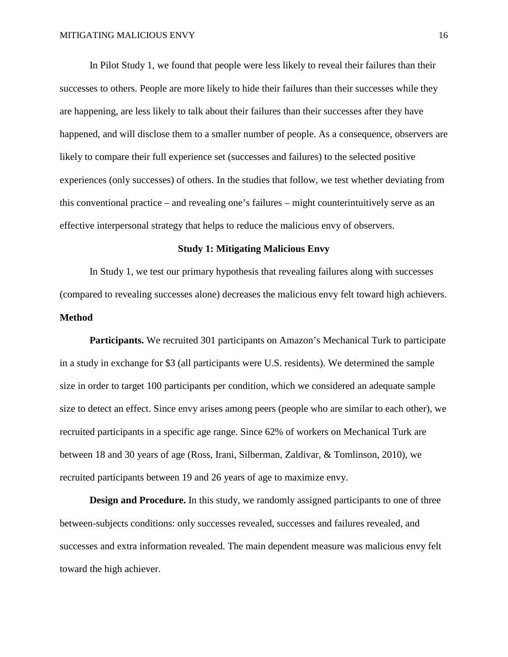In Pilot Study 1, we found that people were less likely to reveal their failures than their successes to others. People are more likely to hide their failures than their successes while they are happening, are less likely to talk about their failures than their successes after they have happened, and will disclose them to a smaller number of people. As a consequence, observers are likely to compare their full experience set (successes and failures) to the selected positive experiences (only successes) of others. In the studies that follow, we test whether deviating from this conventional practice – and revealing one's failures – might counterintuitively serve as an effective interpersonal strategy that helps to reduce the malicious envy of observers.

#### **Study 1: Mitigating Malicious Envy**

In Study 1, we test our primary hypothesis that revealing failures along with successes (compared to revealing successes alone) decreases the malicious envy felt toward high achievers. **Method**

**Participants.** We recruited 301 participants on Amazon's Mechanical Turk to participate in a study in exchange for \$3 (all participants were U.S. residents). We determined the sample size in order to target 100 participants per condition, which we considered an adequate sample size to detect an effect. Since envy arises among peers (people who are similar to each other), we recruited participants in a specific age range. Since 62% of workers on Mechanical Turk are between 18 and 30 years of age (Ross, Irani, Silberman, Zaldivar, & Tomlinson, 2010), we recruited participants between 19 and 26 years of age to maximize envy.

**Design and Procedure.** In this study, we randomly assigned participants to one of three between-subjects conditions: only successes revealed, successes and failures revealed, and successes and extra information revealed. The main dependent measure was malicious envy felt toward the high achiever.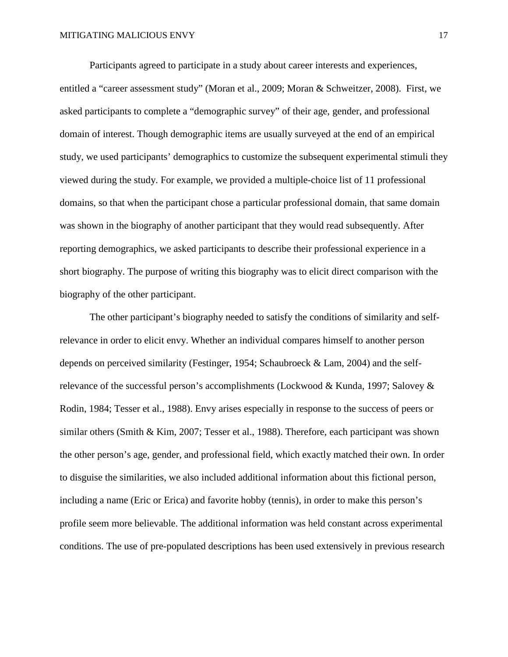Participants agreed to participate in a study about career interests and experiences, entitled a "career assessment study" (Moran et al., 2009; Moran & Schweitzer, 2008). First, we asked participants to complete a "demographic survey" of their age, gender, and professional domain of interest. Though demographic items are usually surveyed at the end of an empirical study, we used participants' demographics to customize the subsequent experimental stimuli they viewed during the study. For example, we provided a multiple-choice list of 11 professional domains, so that when the participant chose a particular professional domain, that same domain was shown in the biography of another participant that they would read subsequently. After reporting demographics, we asked participants to describe their professional experience in a short biography. The purpose of writing this biography was to elicit direct comparison with the biography of the other participant.

The other participant's biography needed to satisfy the conditions of similarity and selfrelevance in order to elicit envy. Whether an individual compares himself to another person depends on perceived similarity (Festinger, 1954; Schaubroeck & Lam, 2004) and the selfrelevance of the successful person's accomplishments (Lockwood & Kunda, 1997; Salovey & Rodin, 1984; Tesser et al., 1988). Envy arises especially in response to the success of peers or similar others (Smith & Kim, 2007; Tesser et al., 1988). Therefore, each participant was shown the other person's age, gender, and professional field, which exactly matched their own. In order to disguise the similarities, we also included additional information about this fictional person, including a name (Eric or Erica) and favorite hobby (tennis), in order to make this person's profile seem more believable. The additional information was held constant across experimental conditions. The use of pre-populated descriptions has been used extensively in previous research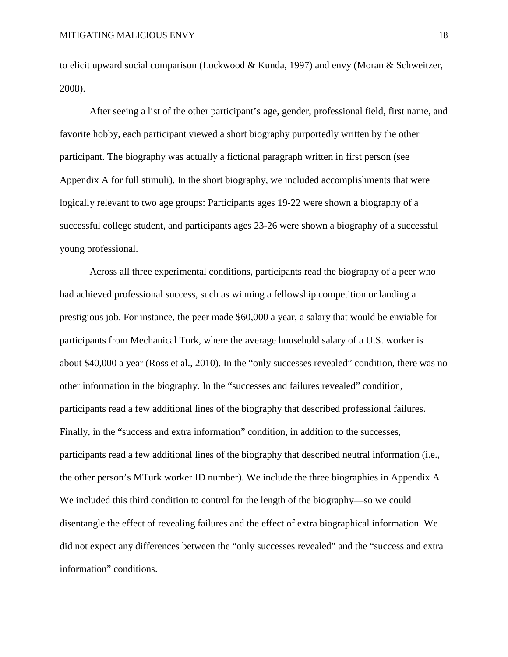to elicit upward social comparison (Lockwood & Kunda, 1997) and envy (Moran & Schweitzer, 2008).

After seeing a list of the other participant's age, gender, professional field, first name, and favorite hobby, each participant viewed a short biography purportedly written by the other participant. The biography was actually a fictional paragraph written in first person (see Appendix A for full stimuli). In the short biography, we included accomplishments that were logically relevant to two age groups: Participants ages 19-22 were shown a biography of a successful college student, and participants ages 23-26 were shown a biography of a successful young professional.

Across all three experimental conditions, participants read the biography of a peer who had achieved professional success, such as winning a fellowship competition or landing a prestigious job. For instance, the peer made \$60,000 a year, a salary that would be enviable for participants from Mechanical Turk, where the average household salary of a U.S. worker is about \$40,000 a year (Ross et al., 2010). In the "only successes revealed" condition, there was no other information in the biography. In the "successes and failures revealed" condition, participants read a few additional lines of the biography that described professional failures. Finally, in the "success and extra information" condition, in addition to the successes, participants read a few additional lines of the biography that described neutral information (i.e., the other person's MTurk worker ID number). We include the three biographies in Appendix A. We included this third condition to control for the length of the biography—so we could disentangle the effect of revealing failures and the effect of extra biographical information. We did not expect any differences between the "only successes revealed" and the "success and extra information" conditions.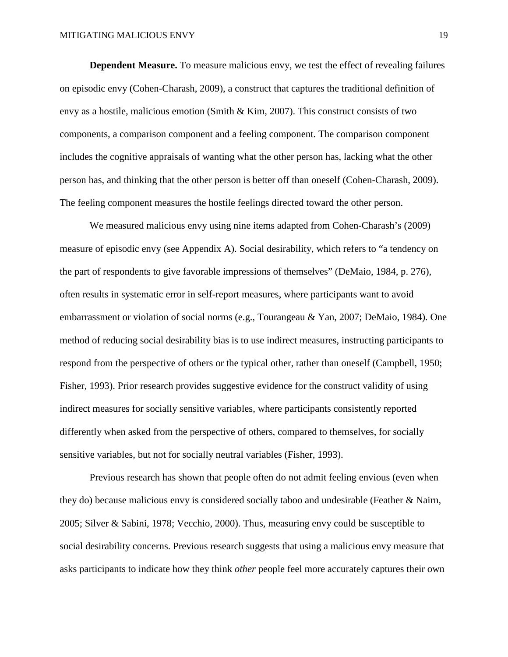**Dependent Measure.** To measure malicious envy, we test the effect of revealing failures on episodic envy (Cohen-Charash, 2009), a construct that captures the traditional definition of envy as a hostile, malicious emotion (Smith & Kim, 2007). This construct consists of two components, a comparison component and a feeling component. The comparison component includes the cognitive appraisals of wanting what the other person has, lacking what the other person has, and thinking that the other person is better off than oneself (Cohen-Charash, 2009). The feeling component measures the hostile feelings directed toward the other person.

We measured malicious envy using nine items adapted from Cohen-Charash's (2009) measure of episodic envy (see Appendix A). Social desirability, which refers to "a tendency on the part of respondents to give favorable impressions of themselves" (DeMaio, 1984, p. 276), often results in systematic error in self-report measures, where participants want to avoid embarrassment or violation of social norms (e.g., Tourangeau & Yan, 2007; DeMaio, 1984). One method of reducing social desirability bias is to use indirect measures, instructing participants to respond from the perspective of others or the typical other, rather than oneself (Campbell, 1950; Fisher, 1993). Prior research provides suggestive evidence for the construct validity of using indirect measures for socially sensitive variables, where participants consistently reported differently when asked from the perspective of others, compared to themselves, for socially sensitive variables, but not for socially neutral variables (Fisher, 1993).

Previous research has shown that people often do not admit feeling envious (even when they do) because malicious envy is considered socially taboo and undesirable (Feather & Nairn, 2005; Silver & Sabini, 1978; Vecchio, 2000). Thus, measuring envy could be susceptible to social desirability concerns. Previous research suggests that using a malicious envy measure that asks participants to indicate how they think *other* people feel more accurately captures their own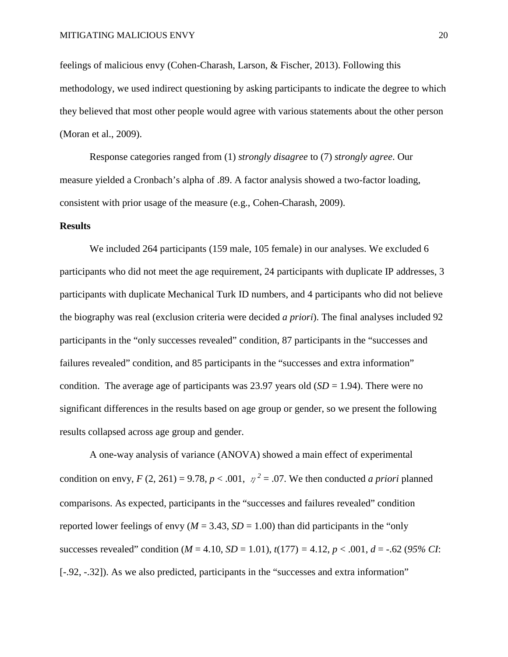feelings of malicious envy (Cohen-Charash, Larson, & Fischer, 2013). Following this methodology, we used indirect questioning by asking participants to indicate the degree to which they believed that most other people would agree with various statements about the other person (Moran et al., 2009).

Response categories ranged from (1) *strongly disagree* to (7) *strongly agree*. Our measure yielded a Cronbach's alpha of .89. A factor analysis showed a two-factor loading, consistent with prior usage of the measure (e.g., Cohen-Charash, 2009).

#### **Results**

We included 264 participants (159 male, 105 female) in our analyses. We excluded 6 participants who did not meet the age requirement, 24 participants with duplicate IP addresses, 3 participants with duplicate Mechanical Turk ID numbers, and 4 participants who did not believe the biography was real (exclusion criteria were decided *a priori*). The final analyses included 92 participants in the "only successes revealed" condition, 87 participants in the "successes and failures revealed" condition, and 85 participants in the "successes and extra information" condition. The average age of participants was 23.97 years old  $(SD = 1.94)$ . There were no significant differences in the results based on age group or gender, so we present the following results collapsed across age group and gender.

A one-way analysis of variance (ANOVA) showed a main effect of experimental condition on envy,  $F(2, 261) = 9.78$ ,  $p < .001$ ,  $p^2 = .07$ . We then conducted *a priori* planned comparisons. As expected, participants in the "successes and failures revealed" condition reported lower feelings of envy ( $M = 3.43$ ,  $SD = 1.00$ ) than did participants in the "only" successes revealed" condition ( $M = 4.10$ ,  $SD = 1.01$ ),  $t(177) = 4.12$ ,  $p < .001$ ,  $d = -.62$  (95% CI: [-.92, -.32]). As we also predicted, participants in the "successes and extra information"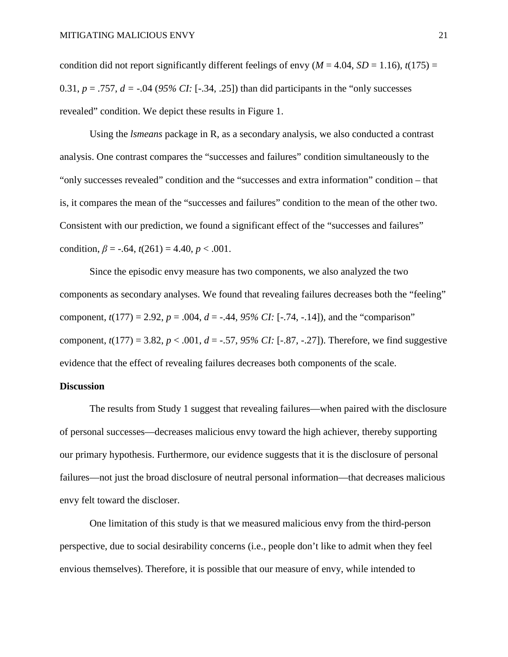condition did not report significantly different feelings of envy ( $M = 4.04$ ,  $SD = 1.16$ ),  $t(175) =$ 0.31,  $p = .757$ ,  $d = -.04$  (95% *CI*: [-.34, .25]) than did participants in the "only successes" revealed" condition. We depict these results in Figure 1.

Using the *lsmeans* package in R, as a secondary analysis, we also conducted a contrast analysis. One contrast compares the "successes and failures" condition simultaneously to the "only successes revealed" condition and the "successes and extra information" condition – that is, it compares the mean of the "successes and failures" condition to the mean of the other two. Consistent with our prediction, we found a significant effect of the "successes and failures" condition,  $\beta$  = -.64,  $t(261)$  = 4.40,  $p < .001$ .

Since the episodic envy measure has two components, we also analyzed the two components as secondary analyses. We found that revealing failures decreases both the "feeling" component,  $t(177) = 2.92$ ,  $p = .004$ ,  $d = -.44$ ,  $95\%$  CI: [-.74, -.14]), and the "comparison" component,  $t(177) = 3.82$ ,  $p < .001$ ,  $d = -.57$ ,  $95\%$  CI: [-.87, -.27]). Therefore, we find suggestive evidence that the effect of revealing failures decreases both components of the scale.

#### **Discussion**

The results from Study 1 suggest that revealing failures—when paired with the disclosure of personal successes—decreases malicious envy toward the high achiever, thereby supporting our primary hypothesis. Furthermore, our evidence suggests that it is the disclosure of personal failures—not just the broad disclosure of neutral personal information—that decreases malicious envy felt toward the discloser.

One limitation of this study is that we measured malicious envy from the third-person perspective, due to social desirability concerns (i.e., people don't like to admit when they feel envious themselves). Therefore, it is possible that our measure of envy, while intended to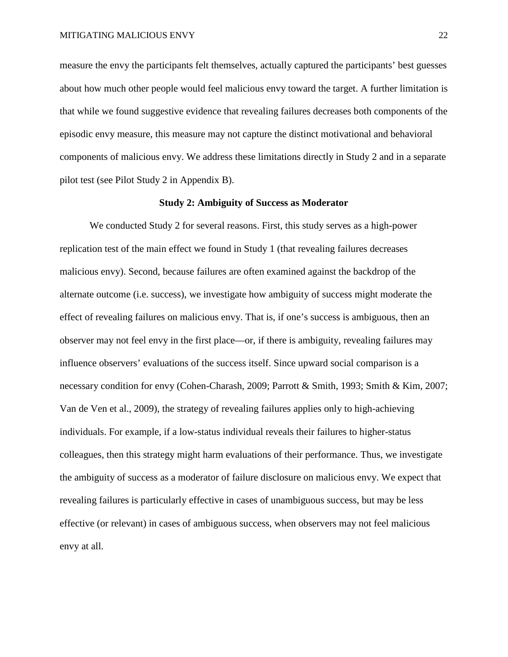measure the envy the participants felt themselves, actually captured the participants' best guesses about how much other people would feel malicious envy toward the target. A further limitation is that while we found suggestive evidence that revealing failures decreases both components of the episodic envy measure, this measure may not capture the distinct motivational and behavioral components of malicious envy. We address these limitations directly in Study 2 and in a separate pilot test (see Pilot Study 2 in Appendix B).

#### **Study 2: Ambiguity of Success as Moderator**

We conducted Study 2 for several reasons. First, this study serves as a high-power replication test of the main effect we found in Study 1 (that revealing failures decreases malicious envy). Second, because failures are often examined against the backdrop of the alternate outcome (i.e. success), we investigate how ambiguity of success might moderate the effect of revealing failures on malicious envy. That is, if one's success is ambiguous, then an observer may not feel envy in the first place—or, if there is ambiguity, revealing failures may influence observers' evaluations of the success itself. Since upward social comparison is a necessary condition for envy (Cohen-Charash, 2009; Parrott & Smith, 1993; Smith & Kim, 2007; Van de Ven et al., 2009), the strategy of revealing failures applies only to high-achieving individuals. For example, if a low-status individual reveals their failures to higher-status colleagues, then this strategy might harm evaluations of their performance. Thus, we investigate the ambiguity of success as a moderator of failure disclosure on malicious envy. We expect that revealing failures is particularly effective in cases of unambiguous success, but may be less effective (or relevant) in cases of ambiguous success, when observers may not feel malicious envy at all.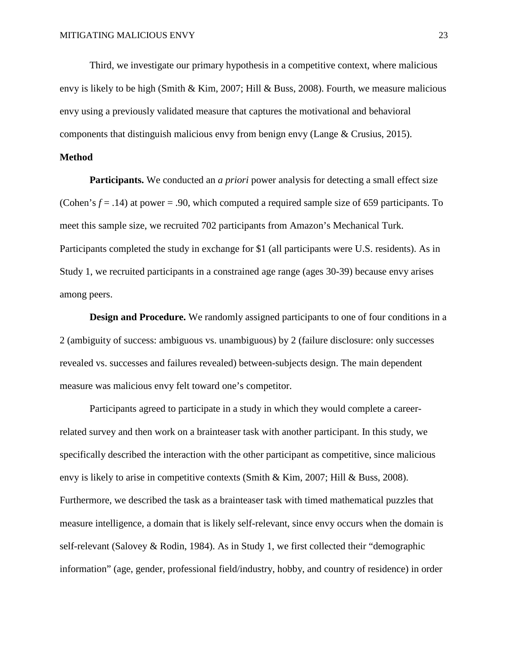Third, we investigate our primary hypothesis in a competitive context, where malicious envy is likely to be high (Smith & Kim, 2007; Hill & Buss, 2008). Fourth, we measure malicious envy using a previously validated measure that captures the motivational and behavioral components that distinguish malicious envy from benign envy (Lange & Crusius, 2015).

# **Method**

**Participants.** We conducted an *a priori* power analysis for detecting a small effect size (Cohen's *f* = .14) at power = .90, which computed a required sample size of 659 participants. To meet this sample size, we recruited 702 participants from Amazon's Mechanical Turk. Participants completed the study in exchange for \$1 (all participants were U.S. residents). As in Study 1, we recruited participants in a constrained age range (ages 30-39) because envy arises among peers.

**Design and Procedure.** We randomly assigned participants to one of four conditions in a 2 (ambiguity of success: ambiguous vs. unambiguous) by 2 (failure disclosure: only successes revealed vs. successes and failures revealed) between-subjects design. The main dependent measure was malicious envy felt toward one's competitor.

Participants agreed to participate in a study in which they would complete a careerrelated survey and then work on a brainteaser task with another participant. In this study, we specifically described the interaction with the other participant as competitive, since malicious envy is likely to arise in competitive contexts (Smith & Kim, 2007; Hill & Buss, 2008). Furthermore, we described the task as a brainteaser task with timed mathematical puzzles that measure intelligence, a domain that is likely self-relevant, since envy occurs when the domain is self-relevant (Salovey & Rodin, 1984). As in Study 1, we first collected their "demographic information" (age, gender, professional field/industry, hobby, and country of residence) in order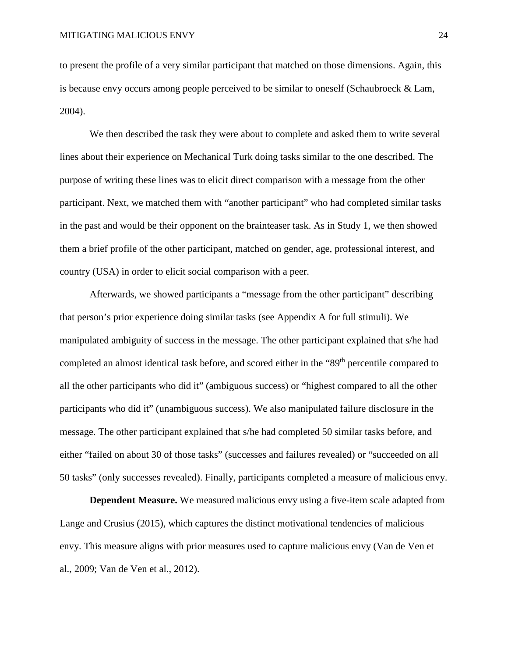to present the profile of a very similar participant that matched on those dimensions. Again, this is because envy occurs among people perceived to be similar to oneself (Schaubroeck & Lam, 2004).

We then described the task they were about to complete and asked them to write several lines about their experience on Mechanical Turk doing tasks similar to the one described. The purpose of writing these lines was to elicit direct comparison with a message from the other participant. Next, we matched them with "another participant" who had completed similar tasks in the past and would be their opponent on the brainteaser task. As in Study 1, we then showed them a brief profile of the other participant, matched on gender, age, professional interest, and country (USA) in order to elicit social comparison with a peer.

Afterwards, we showed participants a "message from the other participant" describing that person's prior experience doing similar tasks (see Appendix A for full stimuli). We manipulated ambiguity of success in the message. The other participant explained that s/he had completed an almost identical task before, and scored either in the "89<sup>th</sup> percentile compared to all the other participants who did it" (ambiguous success) or "highest compared to all the other participants who did it" (unambiguous success). We also manipulated failure disclosure in the message. The other participant explained that s/he had completed 50 similar tasks before, and either "failed on about 30 of those tasks" (successes and failures revealed) or "succeeded on all 50 tasks" (only successes revealed). Finally, participants completed a measure of malicious envy.

**Dependent Measure.** We measured malicious envy using a five-item scale adapted from Lange and Crusius (2015), which captures the distinct motivational tendencies of malicious envy. This measure aligns with prior measures used to capture malicious envy (Van de Ven et al., 2009; Van de Ven et al., 2012).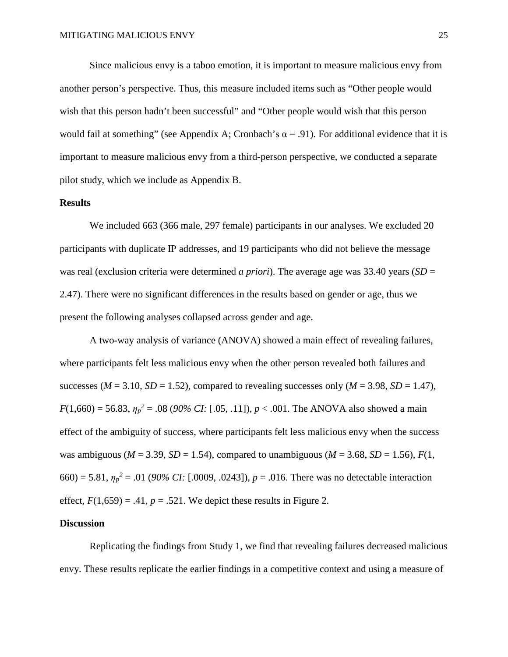Since malicious envy is a taboo emotion, it is important to measure malicious envy from another person's perspective. Thus, this measure included items such as "Other people would wish that this person hadn't been successful" and "Other people would wish that this person would fail at something" (see Appendix A; Cronbach's  $\alpha = .91$ ). For additional evidence that it is important to measure malicious envy from a third-person perspective, we conducted a separate pilot study, which we include as Appendix B.

# **Results**

We included 663 (366 male, 297 female) participants in our analyses. We excluded 20 participants with duplicate IP addresses, and 19 participants who did not believe the message was real (exclusion criteria were determined *a priori*). The average age was 33.40 years (*SD* = 2.47). There were no significant differences in the results based on gender or age, thus we present the following analyses collapsed across gender and age.

A two-way analysis of variance (ANOVA) showed a main effect of revealing failures, where participants felt less malicious envy when the other person revealed both failures and successes ( $M = 3.10$ ,  $SD = 1.52$ ), compared to revealing successes only ( $M = 3.98$ ,  $SD = 1.47$ ),  $F(1,660) = 56.83$ ,  $\eta_p^2 = .08$  (90% *CI*: [.05, .11]),  $p < .001$ . The ANOVA also showed a main effect of the ambiguity of success, where participants felt less malicious envy when the success was ambiguous ( $M = 3.39$ ,  $SD = 1.54$ ), compared to unambiguous ( $M = 3.68$ ,  $SD = 1.56$ ),  $F(1, 1)$ 660) = 5.81,  $\eta_p^2$  = .01 (90% CI: [.0009, .0243]),  $p = .016$ . There was no detectable interaction effect,  $F(1,659) = .41$ ,  $p = .521$ . We depict these results in Figure 2.

#### **Discussion**

Replicating the findings from Study 1, we find that revealing failures decreased malicious envy. These results replicate the earlier findings in a competitive context and using a measure of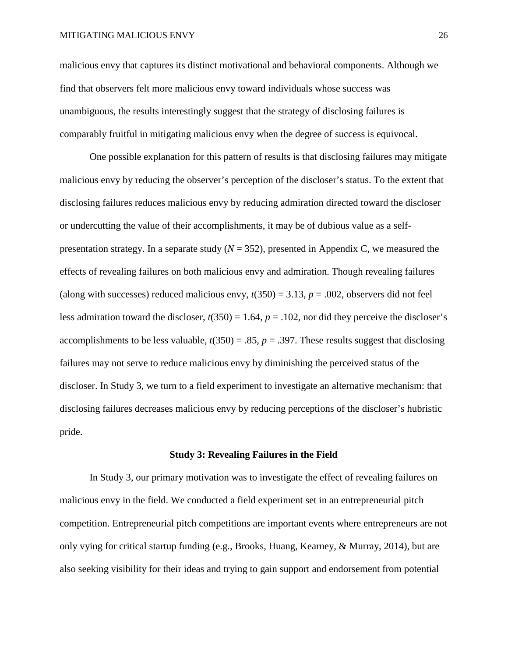malicious envy that captures its distinct motivational and behavioral components. Although we find that observers felt more malicious envy toward individuals whose success was unambiguous, the results interestingly suggest that the strategy of disclosing failures is comparably fruitful in mitigating malicious envy when the degree of success is equivocal.

One possible explanation for this pattern of results is that disclosing failures may mitigate malicious envy by reducing the observer's perception of the discloser's status. To the extent that disclosing failures reduces malicious envy by reducing admiration directed toward the discloser or undercutting the value of their accomplishments, it may be of dubious value as a selfpresentation strategy. In a separate study  $(N = 352)$ , presented in Appendix C, we measured the effects of revealing failures on both malicious envy and admiration. Though revealing failures (along with successes) reduced malicious envy,  $t(350) = 3.13$ ,  $p = .002$ , observers did not feel less admiration toward the discloser,  $t(350) = 1.64$ ,  $p = .102$ , nor did they perceive the discloser's accomplishments to be less valuable,  $t(350) = .85$ ,  $p = .397$ . These results suggest that disclosing failures may not serve to reduce malicious envy by diminishing the perceived status of the discloser. In Study 3, we turn to a field experiment to investigate an alternative mechanism: that disclosing failures decreases malicious envy by reducing perceptions of the discloser's hubristic pride.

#### **Study 3: Revealing Failures in the Field**

In Study 3, our primary motivation was to investigate the effect of revealing failures on malicious envy in the field. We conducted a field experiment set in an entrepreneurial pitch competition. Entrepreneurial pitch competitions are important events where entrepreneurs are not only vying for critical startup funding (e.g., Brooks, Huang, Kearney, & Murray, 2014), but are also seeking visibility for their ideas and trying to gain support and endorsement from potential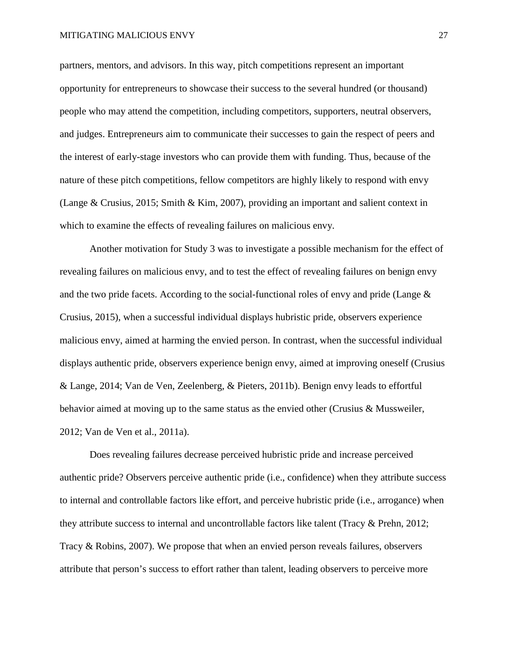partners, mentors, and advisors. In this way, pitch competitions represent an important opportunity for entrepreneurs to showcase their success to the several hundred (or thousand) people who may attend the competition, including competitors, supporters, neutral observers, and judges. Entrepreneurs aim to communicate their successes to gain the respect of peers and the interest of early-stage investors who can provide them with funding. Thus, because of the nature of these pitch competitions, fellow competitors are highly likely to respond with envy (Lange & Crusius, 2015; Smith & Kim, 2007), providing an important and salient context in which to examine the effects of revealing failures on malicious envy.

Another motivation for Study 3 was to investigate a possible mechanism for the effect of revealing failures on malicious envy, and to test the effect of revealing failures on benign envy and the two pride facets. According to the social-functional roles of envy and pride (Lange & Crusius, 2015), when a successful individual displays hubristic pride, observers experience malicious envy, aimed at harming the envied person. In contrast, when the successful individual displays authentic pride, observers experience benign envy, aimed at improving oneself (Crusius & Lange, 2014; Van de Ven, Zeelenberg, & Pieters, 2011b). Benign envy leads to effortful behavior aimed at moving up to the same status as the envied other (Crusius & Mussweiler, 2012; Van de Ven et al., 2011a).

Does revealing failures decrease perceived hubristic pride and increase perceived authentic pride? Observers perceive authentic pride (i.e., confidence) when they attribute success to internal and controllable factors like effort, and perceive hubristic pride (i.e., arrogance) when they attribute success to internal and uncontrollable factors like talent (Tracy & Prehn, 2012; Tracy & Robins, 2007). We propose that when an envied person reveals failures, observers attribute that person's success to effort rather than talent, leading observers to perceive more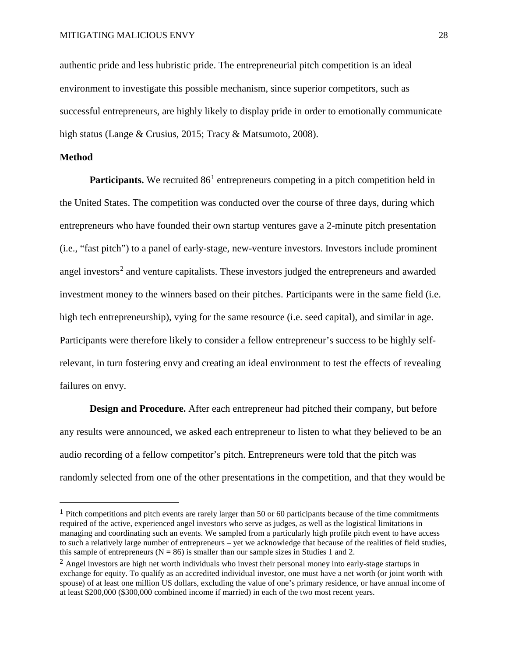authentic pride and less hubristic pride. The entrepreneurial pitch competition is an ideal environment to investigate this possible mechanism, since superior competitors, such as successful entrepreneurs, are highly likely to display pride in order to emotionally communicate high status (Lange & Crusius, 2015; Tracy & Matsumoto, 2008).

#### **Method**

**Participants.** We recruited  $86<sup>1</sup>$  $86<sup>1</sup>$  $86<sup>1</sup>$  entrepreneurs competing in a pitch competition held in the United States. The competition was conducted over the course of three days, during which entrepreneurs who have founded their own startup ventures gave a 2-minute pitch presentation (i.e., "fast pitch") to a panel of early-stage, new-venture investors. Investors include prominent angel investors<sup>[2](#page-29-1)</sup> and venture capitalists. These investors judged the entrepreneurs and awarded investment money to the winners based on their pitches. Participants were in the same field (i.e. high tech entrepreneurship), vying for the same resource (i.e. seed capital), and similar in age. Participants were therefore likely to consider a fellow entrepreneur's success to be highly selfrelevant, in turn fostering envy and creating an ideal environment to test the effects of revealing failures on envy.

**Design and Procedure.** After each entrepreneur had pitched their company, but before any results were announced, we asked each entrepreneur to listen to what they believed to be an audio recording of a fellow competitor's pitch. Entrepreneurs were told that the pitch was randomly selected from one of the other presentations in the competition, and that they would be

<span id="page-29-0"></span> <sup>1</sup> Pitch competitions and pitch events are rarely larger than 50 or 60 participants because of the time commitments required of the active, experienced angel investors who serve as judges, as well as the logistical limitations in managing and coordinating such an events. We sampled from a particularly high profile pitch event to have access to such a relatively large number of entrepreneurs – yet we acknowledge that because of the realities of field studies, this sample of entrepreneurs ( $N = 86$ ) is smaller than our sample sizes in Studies 1 and 2.

<span id="page-29-1"></span><sup>&</sup>lt;sup>2</sup> Angel investors are high net worth individuals who invest their personal money into early-stage startups in exchange for equity. To qualify as an accredited individual investor, one must have a net worth (or joint worth with spouse) of at least one million US dollars, excluding the value of one's primary residence, or have annual income of at least \$200,000 (\$300,000 combined income if married) in each of the two most recent years.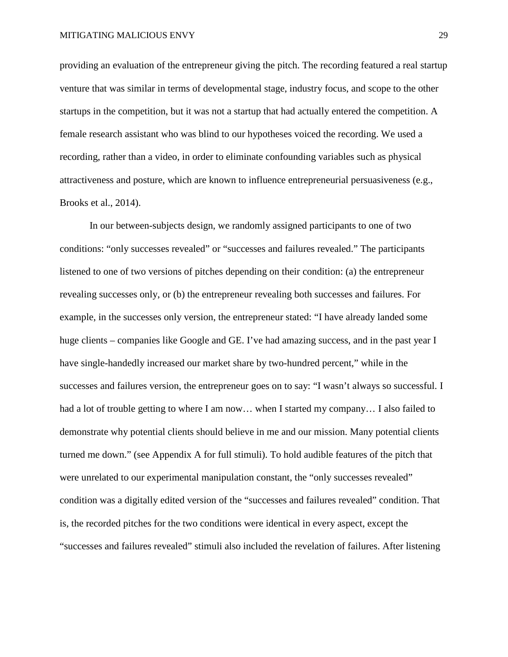providing an evaluation of the entrepreneur giving the pitch. The recording featured a real startup venture that was similar in terms of developmental stage, industry focus, and scope to the other startups in the competition, but it was not a startup that had actually entered the competition. A female research assistant who was blind to our hypotheses voiced the recording. We used a recording, rather than a video, in order to eliminate confounding variables such as physical attractiveness and posture, which are known to influence entrepreneurial persuasiveness (e.g., Brooks et al., 2014).

In our between-subjects design, we randomly assigned participants to one of two conditions: "only successes revealed" or "successes and failures revealed." The participants listened to one of two versions of pitches depending on their condition: (a) the entrepreneur revealing successes only, or (b) the entrepreneur revealing both successes and failures. For example, in the successes only version, the entrepreneur stated: "I have already landed some huge clients – companies like Google and GE. I've had amazing success, and in the past year I have single-handedly increased our market share by two-hundred percent," while in the successes and failures version, the entrepreneur goes on to say: "I wasn't always so successful. I had a lot of trouble getting to where I am now... when I started my company... I also failed to demonstrate why potential clients should believe in me and our mission. Many potential clients turned me down." (see Appendix A for full stimuli). To hold audible features of the pitch that were unrelated to our experimental manipulation constant, the "only successes revealed" condition was a digitally edited version of the "successes and failures revealed" condition. That is, the recorded pitches for the two conditions were identical in every aspect, except the "successes and failures revealed" stimuli also included the revelation of failures. After listening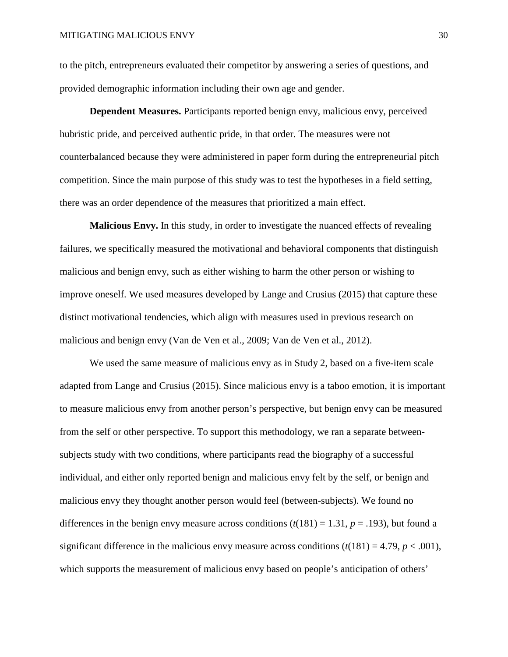to the pitch, entrepreneurs evaluated their competitor by answering a series of questions, and provided demographic information including their own age and gender.

**Dependent Measures.** Participants reported benign envy, malicious envy, perceived hubristic pride, and perceived authentic pride, in that order. The measures were not counterbalanced because they were administered in paper form during the entrepreneurial pitch competition. Since the main purpose of this study was to test the hypotheses in a field setting, there was an order dependence of the measures that prioritized a main effect.

**Malicious Envy.** In this study, in order to investigate the nuanced effects of revealing failures, we specifically measured the motivational and behavioral components that distinguish malicious and benign envy, such as either wishing to harm the other person or wishing to improve oneself. We used measures developed by Lange and Crusius (2015) that capture these distinct motivational tendencies, which align with measures used in previous research on malicious and benign envy (Van de Ven et al., 2009; Van de Ven et al., 2012).

We used the same measure of malicious envy as in Study 2, based on a five-item scale adapted from Lange and Crusius (2015). Since malicious envy is a taboo emotion, it is important to measure malicious envy from another person's perspective, but benign envy can be measured from the self or other perspective. To support this methodology, we ran a separate betweensubjects study with two conditions, where participants read the biography of a successful individual, and either only reported benign and malicious envy felt by the self, or benign and malicious envy they thought another person would feel (between-subjects). We found no differences in the benign envy measure across conditions  $(t(181) = 1.31, p = .193)$ , but found a significant difference in the malicious envy measure across conditions  $(t(181) = 4.79, p < .001)$ , which supports the measurement of malicious envy based on people's anticipation of others'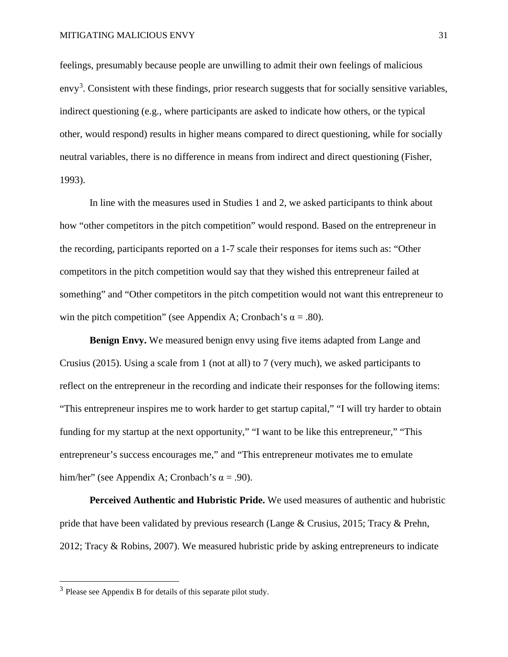feelings, presumably because people are unwilling to admit their own feelings of malicious envy<sup>[3](#page-32-0)</sup>. Consistent with these findings, prior research suggests that for socially sensitive variables, indirect questioning (e.g., where participants are asked to indicate how others, or the typical other, would respond) results in higher means compared to direct questioning, while for socially neutral variables, there is no difference in means from indirect and direct questioning (Fisher, 1993).

In line with the measures used in Studies 1 and 2, we asked participants to think about how "other competitors in the pitch competition" would respond. Based on the entrepreneur in the recording, participants reported on a 1-7 scale their responses for items such as: "Other competitors in the pitch competition would say that they wished this entrepreneur failed at something" and "Other competitors in the pitch competition would not want this entrepreneur to win the pitch competition" (see Appendix A; Cronbach's  $\alpha = .80$ ).

**Benign Envy.** We measured benign envy using five items adapted from Lange and Crusius (2015). Using a scale from 1 (not at all) to 7 (very much), we asked participants to reflect on the entrepreneur in the recording and indicate their responses for the following items: "This entrepreneur inspires me to work harder to get startup capital," "I will try harder to obtain funding for my startup at the next opportunity," "I want to be like this entrepreneur," "This entrepreneur's success encourages me," and "This entrepreneur motivates me to emulate him/her" (see Appendix A; Cronbach's  $\alpha$  = .90).

**Perceived Authentic and Hubristic Pride.** We used measures of authentic and hubristic pride that have been validated by previous research (Lange & Crusius, 2015; Tracy & Prehn, 2012; Tracy & Robins, 2007). We measured hubristic pride by asking entrepreneurs to indicate

<span id="page-32-0"></span><sup>3</sup> Please see Appendix B for details of this separate pilot study.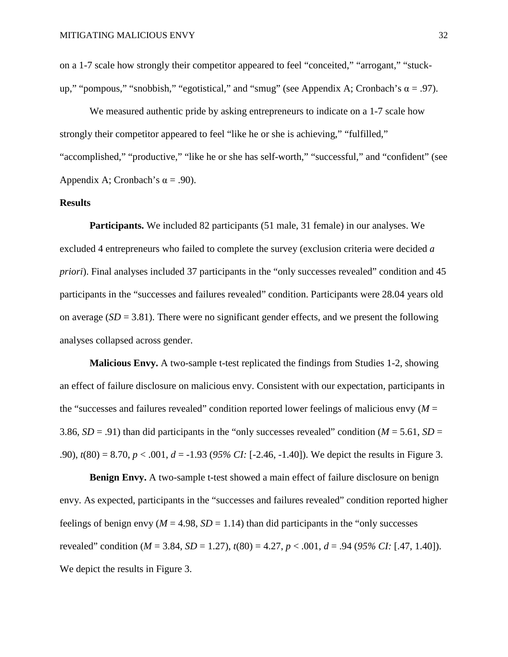on a 1-7 scale how strongly their competitor appeared to feel "conceited," "arrogant," "stuckup," "pompous," "snobbish," "egotistical," and "smug" (see Appendix A; Cronbach's  $\alpha = .97$ ).

We measured authentic pride by asking entrepreneurs to indicate on a 1-7 scale how strongly their competitor appeared to feel "like he or she is achieving," "fulfilled," "accomplished," "productive," "like he or she has self-worth," "successful," and "confident" (see Appendix A; Cronbach's  $\alpha$  = .90).

# **Results**

**Participants.** We included 82 participants (51 male, 31 female) in our analyses. We excluded 4 entrepreneurs who failed to complete the survey (exclusion criteria were decided *a priori*). Final analyses included 37 participants in the "only successes revealed" condition and 45 participants in the "successes and failures revealed" condition. Participants were 28.04 years old on average  $(SD = 3.81)$ . There were no significant gender effects, and we present the following analyses collapsed across gender.

**Malicious Envy.** A two-sample t-test replicated the findings from Studies 1-2, showing an effect of failure disclosure on malicious envy. Consistent with our expectation, participants in the "successes and failures revealed" condition reported lower feelings of malicious envy  $(M =$ 3.86,  $SD = .91$ ) than did participants in the "only successes revealed" condition ( $M = 5.61$ ,  $SD =$ .90), *t*(80) = 8.70, *p* < .001, *d* = -1.93 (*95% CI:* [-2.46, -1.40]). We depict the results in Figure 3.

**Benign Envy.** A two-sample t-test showed a main effect of failure disclosure on benign envy. As expected, participants in the "successes and failures revealed" condition reported higher feelings of benign envy ( $M = 4.98$ ,  $SD = 1.14$ ) than did participants in the "only successes" revealed" condition ( $M = 3.84$ ,  $SD = 1.27$ ),  $t(80) = 4.27$ ,  $p < .001$ ,  $d = .94$  (95% CI: [.47, 1.40]). We depict the results in Figure 3.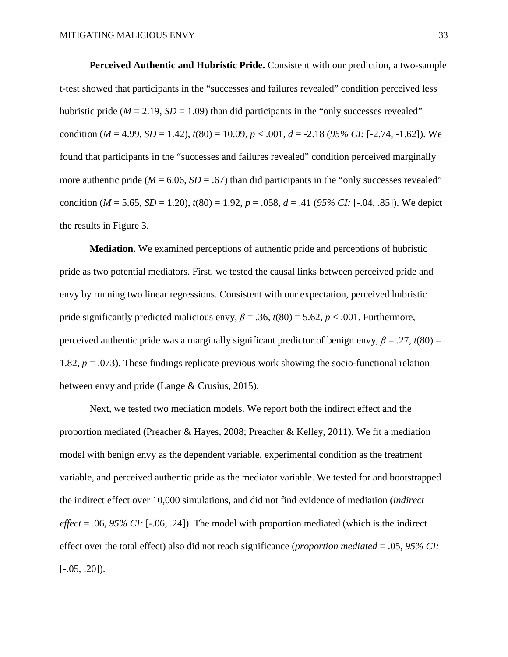**Perceived Authentic and Hubristic Pride.** Consistent with our prediction, a two-sample t-test showed that participants in the "successes and failures revealed" condition perceived less hubristic pride ( $M = 2.19$ ,  $SD = 1.09$ ) than did participants in the "only successes revealed" condition ( $M = 4.99$ ,  $SD = 1.42$ ),  $t(80) = 10.09$ ,  $p < .001$ ,  $d = -2.18$  (95% CI: [-2.74, -1.62]). We found that participants in the "successes and failures revealed" condition perceived marginally more authentic pride ( $M = 6.06$ ,  $SD = .67$ ) than did participants in the "only successes revealed" condition ( $M = 5.65$ ,  $SD = 1.20$ ),  $t(80) = 1.92$ ,  $p = .058$ ,  $d = .41$  (95% CI: [-.04, .85]). We depict the results in Figure 3.

**Mediation.** We examined perceptions of authentic pride and perceptions of hubristic pride as two potential mediators. First, we tested the causal links between perceived pride and envy by running two linear regressions. Consistent with our expectation, perceived hubristic pride significantly predicted malicious envy,  $\beta = .36$ ,  $t(80) = 5.62$ ,  $p < .001$ . Furthermore, perceived authentic pride was a marginally significant predictor of benign envy,  $\beta = .27$ ,  $t(80) =$ 1.82, *p* = .073). These findings replicate previous work showing the socio-functional relation between envy and pride (Lange & Crusius, 2015).

Next, we tested two mediation models. We report both the indirect effect and the proportion mediated (Preacher & Hayes, 2008; Preacher & Kelley, 2011). We fit a mediation model with benign envy as the dependent variable, experimental condition as the treatment variable, and perceived authentic pride as the mediator variable. We tested for and bootstrapped the indirect effect over 10,000 simulations, and did not find evidence of mediation (*indirect effect* = .06, *95% CI:* [-.06, .24]). The model with proportion mediated (which is the indirect effect over the total effect) also did not reach significance (*proportion mediated* = .05, *95% CI:*  $[-.05, .20]$ .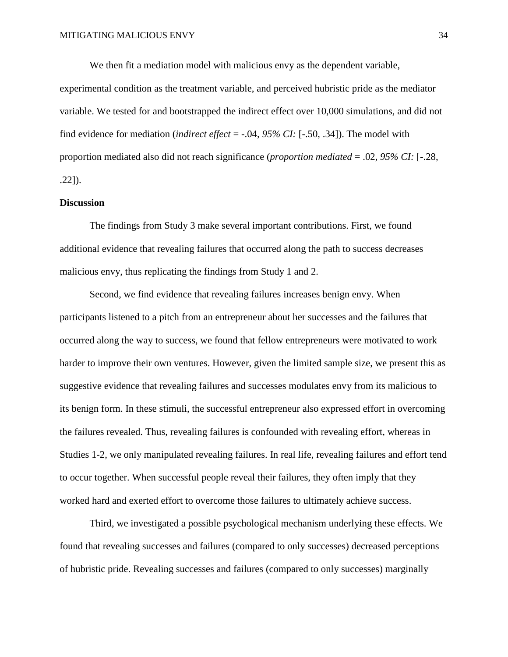We then fit a mediation model with malicious envy as the dependent variable, experimental condition as the treatment variable, and perceived hubristic pride as the mediator variable. We tested for and bootstrapped the indirect effect over 10,000 simulations, and did not find evidence for mediation (*indirect effect* = -.04, *95% CI:* [-.50, .34]). The model with proportion mediated also did not reach significance (*proportion mediated* = .02, *95% CI:* [-.28, .22]).

# **Discussion**

The findings from Study 3 make several important contributions. First, we found additional evidence that revealing failures that occurred along the path to success decreases malicious envy, thus replicating the findings from Study 1 and 2.

Second, we find evidence that revealing failures increases benign envy. When participants listened to a pitch from an entrepreneur about her successes and the failures that occurred along the way to success, we found that fellow entrepreneurs were motivated to work harder to improve their own ventures. However, given the limited sample size, we present this as suggestive evidence that revealing failures and successes modulates envy from its malicious to its benign form. In these stimuli, the successful entrepreneur also expressed effort in overcoming the failures revealed. Thus, revealing failures is confounded with revealing effort, whereas in Studies 1-2, we only manipulated revealing failures. In real life, revealing failures and effort tend to occur together. When successful people reveal their failures, they often imply that they worked hard and exerted effort to overcome those failures to ultimately achieve success.

Third, we investigated a possible psychological mechanism underlying these effects. We found that revealing successes and failures (compared to only successes) decreased perceptions of hubristic pride. Revealing successes and failures (compared to only successes) marginally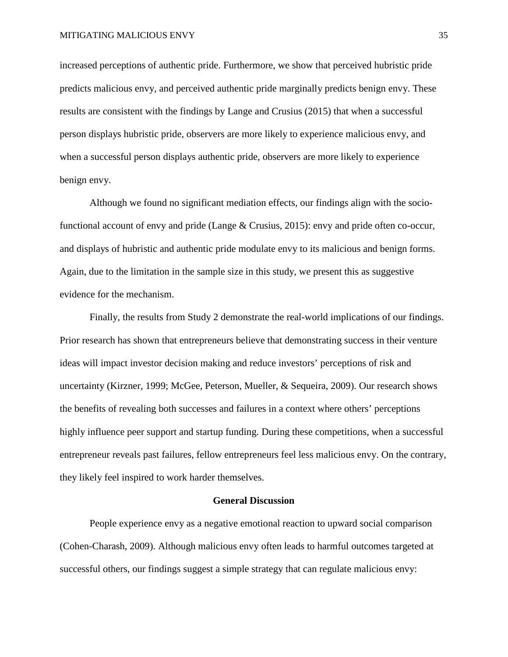increased perceptions of authentic pride. Furthermore, we show that perceived hubristic pride predicts malicious envy, and perceived authentic pride marginally predicts benign envy. These results are consistent with the findings by Lange and Crusius (2015) that when a successful person displays hubristic pride, observers are more likely to experience malicious envy, and when a successful person displays authentic pride, observers are more likely to experience benign envy.

Although we found no significant mediation effects, our findings align with the sociofunctional account of envy and pride (Lange & Crusius, 2015): envy and pride often co-occur, and displays of hubristic and authentic pride modulate envy to its malicious and benign forms. Again, due to the limitation in the sample size in this study, we present this as suggestive evidence for the mechanism.

Finally, the results from Study 2 demonstrate the real-world implications of our findings. Prior research has shown that entrepreneurs believe that demonstrating success in their venture ideas will impact investor decision making and reduce investors' perceptions of risk and uncertainty (Kirzner, 1999; McGee, Peterson, Mueller, & Sequeira, 2009). Our research shows the benefits of revealing both successes and failures in a context where others' perceptions highly influence peer support and startup funding. During these competitions, when a successful entrepreneur reveals past failures, fellow entrepreneurs feel less malicious envy. On the contrary, they likely feel inspired to work harder themselves.

#### **General Discussion**

People experience envy as a negative emotional reaction to upward social comparison (Cohen-Charash, 2009). Although malicious envy often leads to harmful outcomes targeted at successful others, our findings suggest a simple strategy that can regulate malicious envy: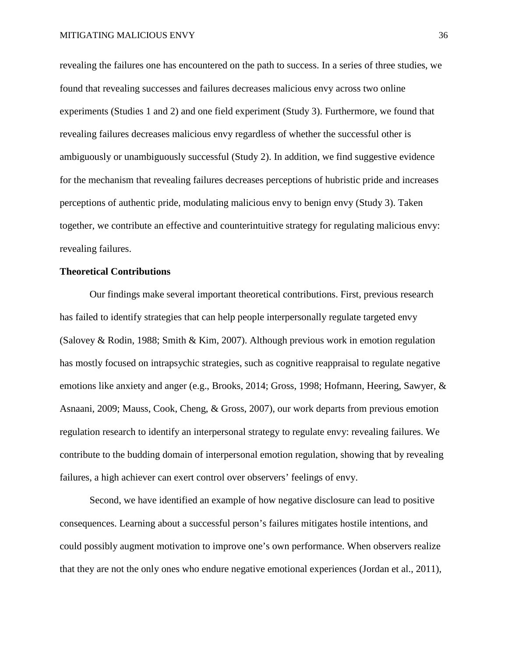revealing the failures one has encountered on the path to success. In a series of three studies, we found that revealing successes and failures decreases malicious envy across two online experiments (Studies 1 and 2) and one field experiment (Study 3). Furthermore, we found that revealing failures decreases malicious envy regardless of whether the successful other is ambiguously or unambiguously successful (Study 2). In addition, we find suggestive evidence for the mechanism that revealing failures decreases perceptions of hubristic pride and increases perceptions of authentic pride, modulating malicious envy to benign envy (Study 3). Taken together, we contribute an effective and counterintuitive strategy for regulating malicious envy: revealing failures.

## **Theoretical Contributions**

Our findings make several important theoretical contributions. First, previous research has failed to identify strategies that can help people interpersonally regulate targeted envy (Salovey & Rodin, 1988; Smith & Kim, 2007). Although previous work in emotion regulation has mostly focused on intrapsychic strategies, such as cognitive reappraisal to regulate negative emotions like anxiety and anger (e.g., Brooks, 2014; Gross, 1998; Hofmann, Heering, Sawyer, & Asnaani, 2009; Mauss, Cook, Cheng, & Gross, 2007), our work departs from previous emotion regulation research to identify an interpersonal strategy to regulate envy: revealing failures. We contribute to the budding domain of interpersonal emotion regulation, showing that by revealing failures, a high achiever can exert control over observers' feelings of envy.

Second, we have identified an example of how negative disclosure can lead to positive consequences. Learning about a successful person's failures mitigates hostile intentions, and could possibly augment motivation to improve one's own performance. When observers realize that they are not the only ones who endure negative emotional experiences (Jordan et al., 2011),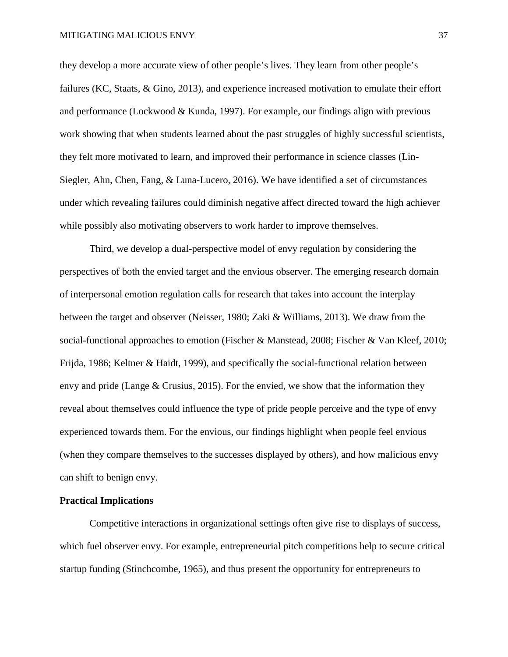they develop a more accurate view of other people's lives. They learn from other people's failures (KC, Staats, & Gino, 2013), and experience increased motivation to emulate their effort and performance (Lockwood & Kunda, 1997). For example, our findings align with previous work showing that when students learned about the past struggles of highly successful scientists, they felt more motivated to learn, and improved their performance in science classes (Lin-Siegler, Ahn, Chen, Fang, & Luna-Lucero, 2016). We have identified a set of circumstances under which revealing failures could diminish negative affect directed toward the high achiever while possibly also motivating observers to work harder to improve themselves.

Third, we develop a dual-perspective model of envy regulation by considering the perspectives of both the envied target and the envious observer. The emerging research domain of interpersonal emotion regulation calls for research that takes into account the interplay between the target and observer (Neisser, 1980; Zaki & Williams, 2013). We draw from the social-functional approaches to emotion (Fischer & Manstead, 2008; Fischer & Van Kleef, 2010; Frijda, 1986; Keltner & Haidt, 1999), and specifically the social-functional relation between envy and pride (Lange & Crusius, 2015). For the envied, we show that the information they reveal about themselves could influence the type of pride people perceive and the type of envy experienced towards them. For the envious, our findings highlight when people feel envious (when they compare themselves to the successes displayed by others), and how malicious envy can shift to benign envy.

#### **Practical Implications**

Competitive interactions in organizational settings often give rise to displays of success, which fuel observer envy. For example, entrepreneurial pitch competitions help to secure critical startup funding (Stinchcombe, 1965), and thus present the opportunity for entrepreneurs to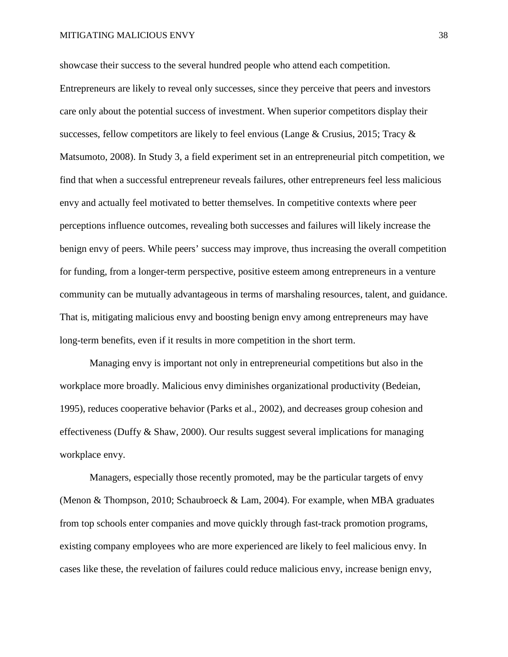showcase their success to the several hundred people who attend each competition. Entrepreneurs are likely to reveal only successes, since they perceive that peers and investors care only about the potential success of investment. When superior competitors display their successes, fellow competitors are likely to feel envious (Lange & Crusius, 2015; Tracy  $\&$ Matsumoto, 2008). In Study 3, a field experiment set in an entrepreneurial pitch competition, we find that when a successful entrepreneur reveals failures, other entrepreneurs feel less malicious envy and actually feel motivated to better themselves. In competitive contexts where peer perceptions influence outcomes, revealing both successes and failures will likely increase the benign envy of peers. While peers' success may improve, thus increasing the overall competition for funding, from a longer-term perspective, positive esteem among entrepreneurs in a venture community can be mutually advantageous in terms of marshaling resources, talent, and guidance. That is, mitigating malicious envy and boosting benign envy among entrepreneurs may have long-term benefits, even if it results in more competition in the short term.

Managing envy is important not only in entrepreneurial competitions but also in the workplace more broadly. Malicious envy diminishes organizational productivity (Bedeian, 1995), reduces cooperative behavior (Parks et al., 2002), and decreases group cohesion and effectiveness (Duffy & Shaw, 2000). Our results suggest several implications for managing workplace envy.

Managers, especially those recently promoted, may be the particular targets of envy (Menon & Thompson, 2010; Schaubroeck & Lam, 2004). For example, when MBA graduates from top schools enter companies and move quickly through fast-track promotion programs, existing company employees who are more experienced are likely to feel malicious envy. In cases like these, the revelation of failures could reduce malicious envy, increase benign envy,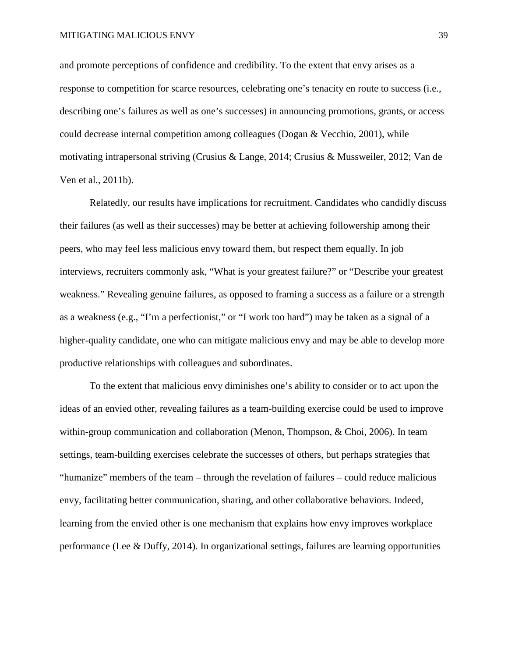and promote perceptions of confidence and credibility. To the extent that envy arises as a response to competition for scarce resources, celebrating one's tenacity en route to success (i.e., describing one's failures as well as one's successes) in announcing promotions, grants, or access could decrease internal competition among colleagues (Dogan  $&$  Vecchio, 2001), while motivating intrapersonal striving (Crusius & Lange, 2014; Crusius & Mussweiler, 2012; Van de Ven et al., 2011b).

Relatedly, our results have implications for recruitment. Candidates who candidly discuss their failures (as well as their successes) may be better at achieving followership among their peers, who may feel less malicious envy toward them, but respect them equally. In job interviews, recruiters commonly ask, "What is your greatest failure?" or "Describe your greatest weakness." Revealing genuine failures, as opposed to framing a success as a failure or a strength as a weakness (e.g., "I'm a perfectionist," or "I work too hard") may be taken as a signal of a higher-quality candidate, one who can mitigate malicious envy and may be able to develop more productive relationships with colleagues and subordinates.

To the extent that malicious envy diminishes one's ability to consider or to act upon the ideas of an envied other, revealing failures as a team-building exercise could be used to improve within-group communication and collaboration (Menon, Thompson, & Choi, 2006). In team settings, team-building exercises celebrate the successes of others, but perhaps strategies that "humanize" members of the team – through the revelation of failures – could reduce malicious envy, facilitating better communication, sharing, and other collaborative behaviors. Indeed, learning from the envied other is one mechanism that explains how envy improves workplace performance (Lee & Duffy, 2014). In organizational settings, failures are learning opportunities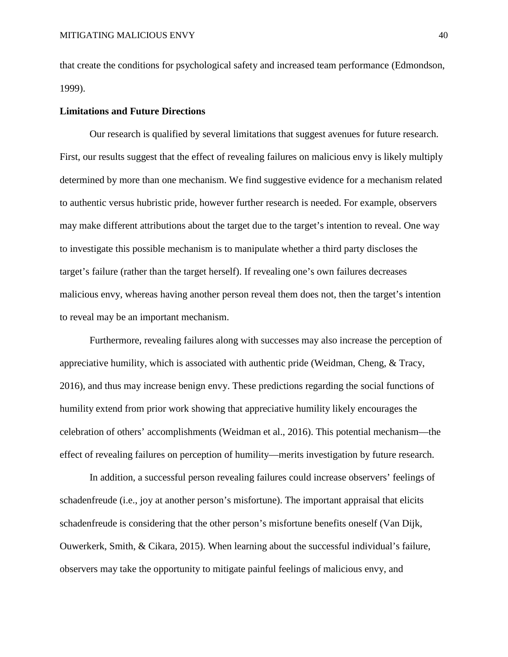that create the conditions for psychological safety and increased team performance (Edmondson, 1999).

## **Limitations and Future Directions**

Our research is qualified by several limitations that suggest avenues for future research. First, our results suggest that the effect of revealing failures on malicious envy is likely multiply determined by more than one mechanism. We find suggestive evidence for a mechanism related to authentic versus hubristic pride, however further research is needed. For example, observers may make different attributions about the target due to the target's intention to reveal. One way to investigate this possible mechanism is to manipulate whether a third party discloses the target's failure (rather than the target herself). If revealing one's own failures decreases malicious envy, whereas having another person reveal them does not, then the target's intention to reveal may be an important mechanism.

Furthermore, revealing failures along with successes may also increase the perception of appreciative humility, which is associated with authentic pride (Weidman, Cheng, & Tracy, 2016), and thus may increase benign envy. These predictions regarding the social functions of humility extend from prior work showing that appreciative humility likely encourages the celebration of others' accomplishments (Weidman et al., 2016). This potential mechanism—the effect of revealing failures on perception of humility—merits investigation by future research.

In addition, a successful person revealing failures could increase observers' feelings of schadenfreude (i.e., joy at another person's misfortune). The important appraisal that elicits schadenfreude is considering that the other person's misfortune benefits oneself (Van Dijk, Ouwerkerk, Smith, & Cikara, 2015). When learning about the successful individual's failure, observers may take the opportunity to mitigate painful feelings of malicious envy, and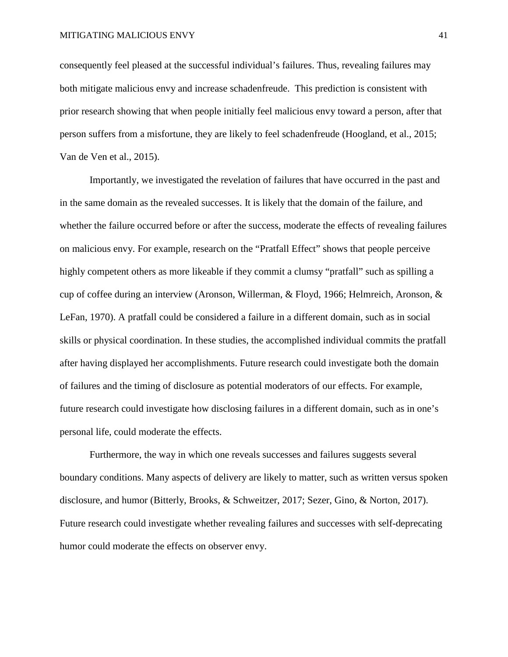consequently feel pleased at the successful individual's failures. Thus, revealing failures may both mitigate malicious envy and increase schadenfreude. This prediction is consistent with prior research showing that when people initially feel malicious envy toward a person, after that person suffers from a misfortune, they are likely to feel schadenfreude (Hoogland, et al., 2015; Van de Ven et al., 2015).

Importantly, we investigated the revelation of failures that have occurred in the past and in the same domain as the revealed successes. It is likely that the domain of the failure, and whether the failure occurred before or after the success, moderate the effects of revealing failures on malicious envy. For example, research on the "Pratfall Effect" shows that people perceive highly competent others as more likeable if they commit a clumsy "pratfall" such as spilling a cup of coffee during an interview (Aronson, Willerman, & Floyd, 1966; Helmreich, Aronson, & LeFan, 1970). A pratfall could be considered a failure in a different domain, such as in social skills or physical coordination. In these studies, the accomplished individual commits the pratfall after having displayed her accomplishments. Future research could investigate both the domain of failures and the timing of disclosure as potential moderators of our effects. For example, future research could investigate how disclosing failures in a different domain, such as in one's personal life, could moderate the effects.

Furthermore, the way in which one reveals successes and failures suggests several boundary conditions. Many aspects of delivery are likely to matter, such as written versus spoken disclosure, and humor (Bitterly, Brooks, & Schweitzer, 2017; Sezer, Gino, & Norton, 2017). Future research could investigate whether revealing failures and successes with self-deprecating humor could moderate the effects on observer envy.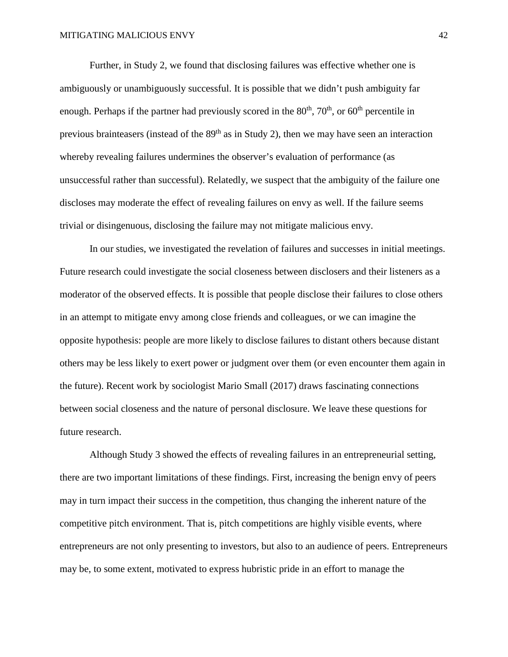Further, in Study 2, we found that disclosing failures was effective whether one is ambiguously or unambiguously successful. It is possible that we didn't push ambiguity far enough. Perhaps if the partner had previously scored in the  $80<sup>th</sup>$ ,  $70<sup>th</sup>$ , or  $60<sup>th</sup>$  percentile in previous brainteasers (instead of the  $89<sup>th</sup>$  as in Study 2), then we may have seen an interaction whereby revealing failures undermines the observer's evaluation of performance (as unsuccessful rather than successful). Relatedly, we suspect that the ambiguity of the failure one discloses may moderate the effect of revealing failures on envy as well. If the failure seems trivial or disingenuous, disclosing the failure may not mitigate malicious envy.

In our studies, we investigated the revelation of failures and successes in initial meetings. Future research could investigate the social closeness between disclosers and their listeners as a moderator of the observed effects. It is possible that people disclose their failures to close others in an attempt to mitigate envy among close friends and colleagues, or we can imagine the opposite hypothesis: people are more likely to disclose failures to distant others because distant others may be less likely to exert power or judgment over them (or even encounter them again in the future). Recent work by sociologist Mario Small (2017) draws fascinating connections between social closeness and the nature of personal disclosure. We leave these questions for future research.

Although Study 3 showed the effects of revealing failures in an entrepreneurial setting, there are two important limitations of these findings. First, increasing the benign envy of peers may in turn impact their success in the competition, thus changing the inherent nature of the competitive pitch environment. That is, pitch competitions are highly visible events, where entrepreneurs are not only presenting to investors, but also to an audience of peers. Entrepreneurs may be, to some extent, motivated to express hubristic pride in an effort to manage the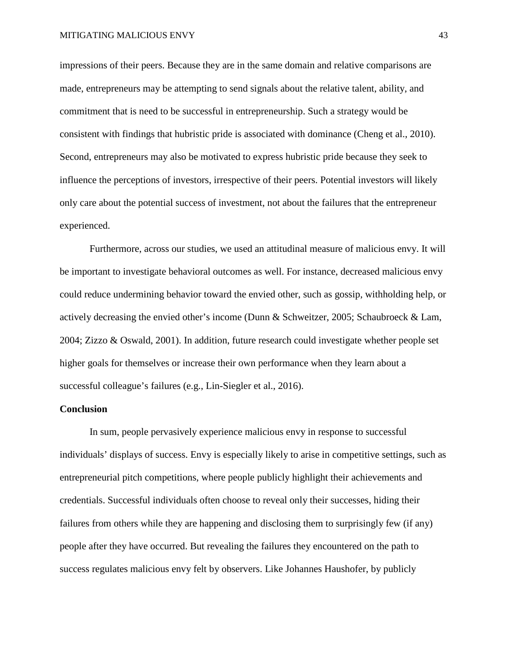impressions of their peers. Because they are in the same domain and relative comparisons are made, entrepreneurs may be attempting to send signals about the relative talent, ability, and commitment that is need to be successful in entrepreneurship. Such a strategy would be consistent with findings that hubristic pride is associated with dominance (Cheng et al., 2010). Second, entrepreneurs may also be motivated to express hubristic pride because they seek to influence the perceptions of investors, irrespective of their peers. Potential investors will likely only care about the potential success of investment, not about the failures that the entrepreneur experienced.

Furthermore, across our studies, we used an attitudinal measure of malicious envy. It will be important to investigate behavioral outcomes as well. For instance, decreased malicious envy could reduce undermining behavior toward the envied other, such as gossip, withholding help, or actively decreasing the envied other's income (Dunn & Schweitzer, 2005; Schaubroeck & Lam, 2004; Zizzo & Oswald, 2001). In addition, future research could investigate whether people set higher goals for themselves or increase their own performance when they learn about a successful colleague's failures (e.g., Lin-Siegler et al., 2016).

## **Conclusion**

In sum, people pervasively experience malicious envy in response to successful individuals' displays of success. Envy is especially likely to arise in competitive settings, such as entrepreneurial pitch competitions, where people publicly highlight their achievements and credentials. Successful individuals often choose to reveal only their successes, hiding their failures from others while they are happening and disclosing them to surprisingly few (if any) people after they have occurred. But revealing the failures they encountered on the path to success regulates malicious envy felt by observers. Like Johannes Haushofer, by publicly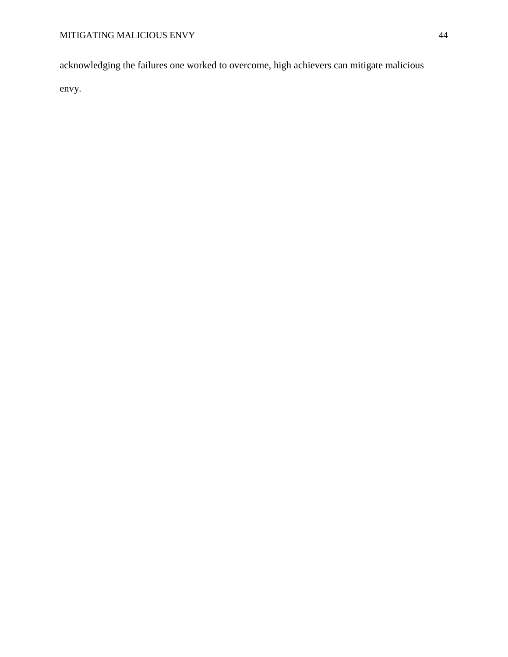acknowledging the failures one worked to overcome, high achievers can mitigate malicious

envy.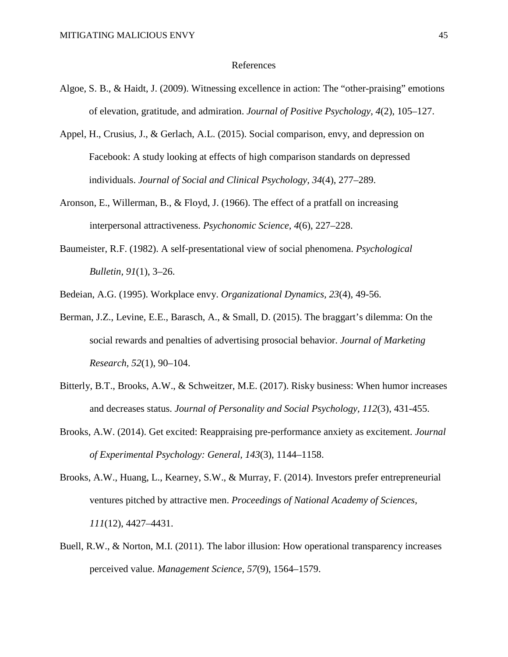#### References

- Algoe, S. B., & Haidt, J. (2009). Witnessing excellence in action: The "other-praising" emotions of elevation, gratitude, and admiration. *Journal of Positive Psychology*, *4*(2), 105–127.
- Appel, H., Crusius, J., & Gerlach, A.L. (2015). Social comparison, envy, and depression on Facebook: A study looking at effects of high comparison standards on depressed individuals. *Journal of Social and Clinical Psychology, 34*(4), 277–289.
- Aronson, E., Willerman, B., & Floyd, J. (1966). The effect of a pratfall on increasing interpersonal attractiveness. *Psychonomic Science, 4*(6), 227–228.
- Baumeister, R.F. (1982). A self-presentational view of social phenomena. *Psychological Bulletin, 91*(1), 3–26.

Bedeian, A.G. (1995). Workplace envy. *Organizational Dynamics, 23*(4), 49-56.

- Berman, J.Z., Levine, E.E., Barasch, A., & Small, D. (2015). The braggart's dilemma: On the social rewards and penalties of advertising prosocial behavior. *Journal of Marketing Research, 52*(1), 90–104.
- Bitterly, B.T., Brooks, A.W., & Schweitzer, M.E. (2017). Risky business: When humor increases and decreases status. *Journal of Personality and Social Psychology, 112*(3), 431-455.
- Brooks, A.W. (2014). Get excited: Reappraising pre-performance anxiety as excitement. *Journal of Experimental Psychology: General, 143*(3), 1144–1158.
- Brooks, A.W., Huang, L., Kearney, S.W., & Murray, F. (2014). Investors prefer entrepreneurial ventures pitched by attractive men. *Proceedings of National Academy of Sciences, 111*(12), 4427–4431.
- Buell, R.W., & Norton, M.I. (2011). The labor illusion: How operational transparency increases perceived value. *Management Science, 57*(9), 1564–1579.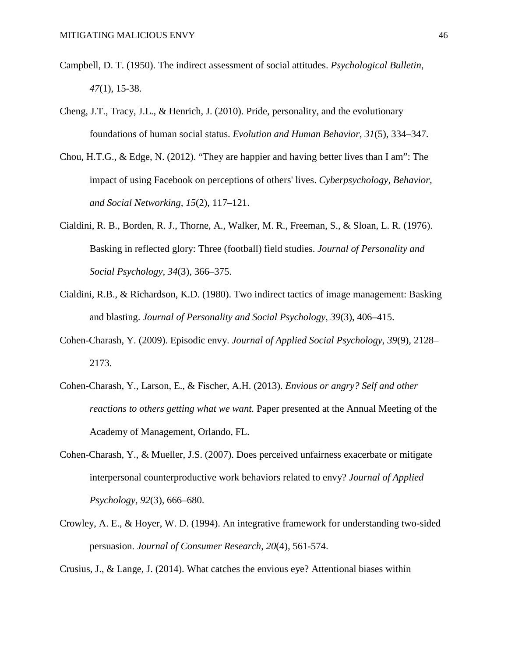- Campbell, D. T. (1950). The indirect assessment of social attitudes. *Psychological Bulletin*, *47*(1), 15-38.
- Cheng, J.T., Tracy, J.L., & Henrich, J. (2010). Pride, personality, and the evolutionary foundations of human social status. *Evolution and Human Behavior, 31*(5), 334–347.
- Chou, H.T.G., & Edge, N. (2012). "They are happier and having better lives than I am": The impact of using Facebook on perceptions of others' lives. *Cyberpsychology, Behavior, and Social Networking, 15*(2), 117–121.
- Cialdini, R. B., Borden, R. J., Thorne, A., Walker, M. R., Freeman, S., & Sloan, L. R. (1976). Basking in reflected glory: Three (football) field studies. *Journal of Personality and Social Psychology*, *34*(3), 366–375.
- Cialdini, R.B., & Richardson, K.D. (1980). Two indirect tactics of image management: Basking and blasting. *Journal of Personality and Social Psychology, 39*(3), 406–415.
- Cohen-Charash, Y. (2009). Episodic envy. *Journal of Applied Social Psychology, 39*(9), 2128– 2173.
- Cohen-Charash, Y., Larson, E., & Fischer, A.H. (2013). *Envious or angry? Self and other reactions to others getting what we want.* Paper presented at the Annual Meeting of the Academy of Management, Orlando, FL.
- Cohen-Charash, Y., & Mueller, J.S. (2007). Does perceived unfairness exacerbate or mitigate interpersonal counterproductive work behaviors related to envy? *Journal of Applied Psychology, 92*(3), 666–680.
- Crowley, A. E., & Hoyer, W. D. (1994). An integrative framework for understanding two-sided persuasion. *Journal of Consumer Research*, *20*(4), 561-574.

Crusius, J., & Lange, J. (2014). What catches the envious eye? Attentional biases within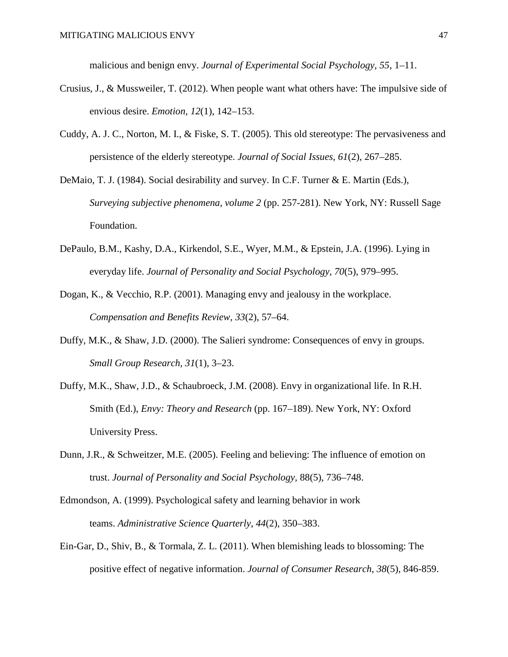malicious and benign envy. *Journal of Experimental Social Psychology, 55*, 1–11.

- Crusius, J., & Mussweiler, T. (2012). When people want what others have: The impulsive side of envious desire. *Emotion, 12*(1), 142–153.
- Cuddy, A. J. C., Norton, M. I., & Fiske, S. T. (2005). This old stereotype: The pervasiveness and persistence of the elderly stereotype. *Journal of Social Issues*, *61*(2), 267–285.
- DeMaio, T. J. (1984). Social desirability and survey. In C.F. Turner & E. Martin (Eds.), *Surveying subjective phenomena*, *volume 2* (pp. 257-281). New York, NY: Russell Sage Foundation.
- DePaulo, B.M., Kashy, D.A., Kirkendol, S.E., Wyer, M.M., & Epstein, J.A. (1996). Lying in everyday life. *Journal of Personality and Social Psychology, 70*(5), 979–995.
- Dogan, K., & Vecchio, R.P. (2001). Managing envy and jealousy in the workplace. *Compensation and Benefits Review, 33*(2), 57–64.
- Duffy, M.K., & Shaw, J.D. (2000). The Salieri syndrome: Consequences of envy in groups. *Small Group Research, 31*(1), 3–23.
- Duffy, M.K., Shaw, J.D., & Schaubroeck, J.M. (2008). Envy in organizational life. In R.H. Smith (Ed.), *Envy: Theory and Research* (pp. 167–189). New York, NY: Oxford University Press.
- Dunn, J.R., & Schweitzer, M.E. (2005). Feeling and believing: The influence of emotion on trust. *Journal of Personality and Social Psychology,* 88(5), 736–748.
- Edmondson, A. (1999). Psychological safety and learning behavior in work teams. *Administrative Science Quarterly, 44*(2), 350–383.
- Ein-Gar, D., Shiv, B., & Tormala, Z. L. (2011). When blemishing leads to blossoming: The positive effect of negative information. *Journal of Consumer Research*, *38*(5), 846-859.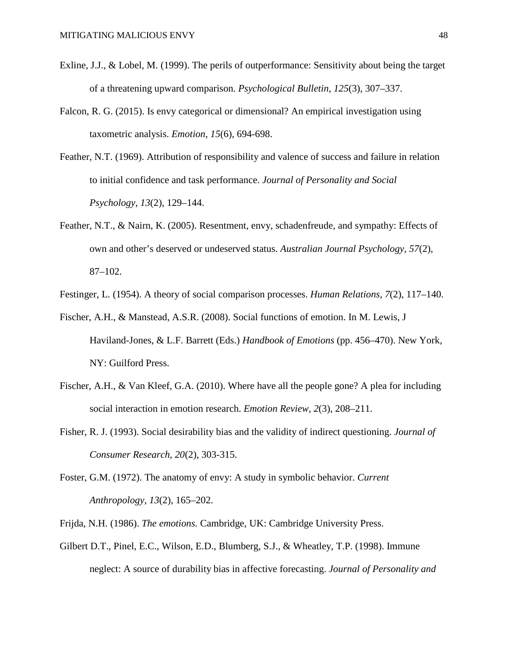- Exline, J.J., & Lobel, M. (1999). The perils of outperformance: Sensitivity about being the target of a threatening upward comparison. *Psychological Bulletin, 125*(3), 307–337.
- Falcon, R. G. (2015). Is envy categorical or dimensional? An empirical investigation using taxometric analysis. *Emotion*, *15*(6), 694-698.
- Feather, N.T. (1969). Attribution of responsibility and valence of success and failure in relation to initial confidence and task performance. *Journal of Personality and Social Psychology, 13*(2), 129–144.
- Feather, N.T., & Nairn, K. (2005). Resentment, envy, schadenfreude, and sympathy: Effects of own and other's deserved or undeserved status. *Australian Journal Psychology, 57*(2), 87–102.

Festinger, L. (1954). A theory of social comparison processes. *Human Relations, 7*(2), 117–140.

- Fischer, A.H., & Manstead, A.S.R. (2008). Social functions of emotion. In M. Lewis, J Haviland-Jones, & L.F. Barrett (Eds.) *Handbook of Emotions* (pp. 456–470). New York, NY: Guilford Press.
- Fischer, A.H., & Van Kleef, G.A. (2010). Where have all the people gone? A plea for including social interaction in emotion research. *Emotion Review, 2*(3), 208–211.
- Fisher, R. J. (1993). Social desirability bias and the validity of indirect questioning. *Journal of Consumer Research*, *20*(2), 303-315.
- Foster, G.M. (1972). The anatomy of envy: A study in symbolic behavior. *Current Anthropology, 13*(2), 165–202.

Frijda, N.H. (1986). *The emotions.* Cambridge, UK: Cambridge University Press.

Gilbert D.T., Pinel, E.C., Wilson, E.D., Blumberg, S.J., & Wheatley, T.P. (1998). Immune neglect: A source of durability bias in affective forecasting. *Journal of Personality and*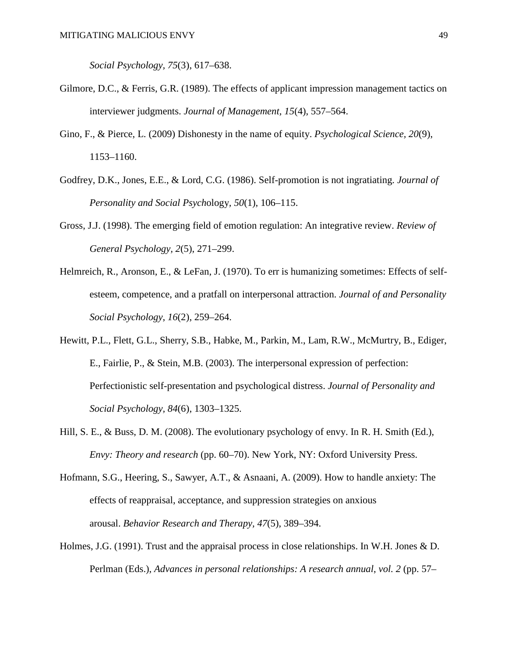*Social Psychology, 75*(3), 617–638.

- Gilmore, D.C., & Ferris, G.R. (1989). The effects of applicant impression management tactics on interviewer judgments. *Journal of Management, 15*(4), 557–564.
- Gino, F., & Pierce, L. (2009) Dishonesty in the name of equity. *Psychological Science, 20*(9), 1153–1160.
- Godfrey, D.K., Jones, E.E., & Lord, C.G. (1986). Self-promotion is not ingratiating. *Journal of Personality and Social Psych*ology*, 50*(1), 106–115.
- Gross, J.J. (1998). The emerging field of emotion regulation: An integrative review. *Review of General Psychology, 2*(5), 271–299.
- Helmreich, R., Aronson, E., & LeFan, J. (1970). To err is humanizing sometimes: Effects of selfesteem, competence, and a pratfall on interpersonal attraction. *Journal of and Personality Social Psychology*, *16*(2), 259–264.
- Hewitt, P.L., Flett, G.L., Sherry, S.B., Habke, M., Parkin, M., Lam, R.W., McMurtry, B., Ediger, E., Fairlie, P., & Stein, M.B. (2003). The interpersonal expression of perfection: Perfectionistic self-presentation and psychological distress. *Journal of Personality and Social Psychology, 84*(6), 1303–1325.
- Hill, S. E., & Buss, D. M. (2008). The evolutionary psychology of envy. In R. H. Smith (Ed.), *Envy: Theory and research* (pp. 60–70). New York, NY: Oxford University Press.
- Hofmann, S.G., Heering, S., Sawyer, A.T., & Asnaani, A. (2009). How to handle anxiety: The effects of reappraisal, acceptance, and suppression strategies on anxious arousal. *Behavior Research and Therapy, 47*(5), 389–394.
- Holmes, J.G. (1991). Trust and the appraisal process in close relationships. In W.H. Jones & D. Perlman (Eds.), *Advances in personal relationships: A research annual*, *vol. 2* (pp. 57–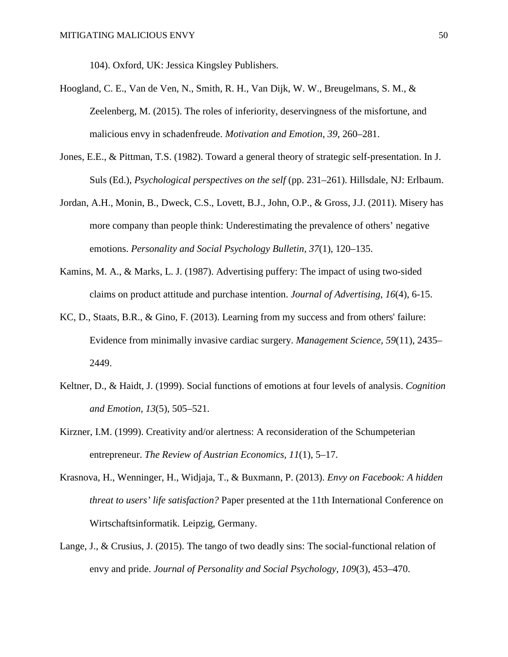104). Oxford, UK: Jessica Kingsley Publishers.

- Hoogland, C. E., Van de Ven, N., Smith, R. H., Van Dijk, W. W., Breugelmans, S. M., & Zeelenberg, M. (2015). The roles of inferiority, deservingness of the misfortune, and malicious envy in schadenfreude. *Motivation and Emotion*, *39*, 260–281.
- Jones, E.E., & Pittman, T.S. (1982). Toward a general theory of strategic self-presentation. In J. Suls (Ed.), *Psychological perspectives on the self* (pp. 231–261). Hillsdale, NJ: Erlbaum.
- Jordan, A.H., Monin, B., Dweck, C.S., Lovett, B.J., John, O.P., & Gross, J.J. (2011). Misery has more company than people think: Underestimating the prevalence of others' negative emotions. *Personality and Social Psychology Bulletin, 37*(1), 120–135.
- Kamins, M. A., & Marks, L. J. (1987). Advertising puffery: The impact of using two-sided claims on product attitude and purchase intention. *Journal of Advertising*, *16*(4), 6-15.
- KC, D., Staats, B.R., & Gino, F. (2013). Learning from my success and from others' failure: Evidence from minimally invasive cardiac surgery. *Management Science, 59*(11), 2435– 2449.
- Keltner, D., & Haidt, J. (1999). Social functions of emotions at four levels of analysis. *Cognition and Emotion, 13*(5), 505–521.
- Kirzner, I.M. (1999). Creativity and/or alertness: A reconsideration of the Schumpeterian entrepreneur. *The Review of Austrian Economics, 11*(1), 5–17.
- Krasnova, H., Wenninger, H., Widjaja, T., & Buxmann, P. (2013). *Envy on Facebook: A hidden threat to users' life satisfaction?* Paper presented at the 11th International Conference on Wirtschaftsinformatik. Leipzig, Germany.
- Lange, J., & Crusius, J. (2015). The tango of two deadly sins: The social-functional relation of envy and pride. *Journal of Personality and Social Psychology, 109*(3), 453–470.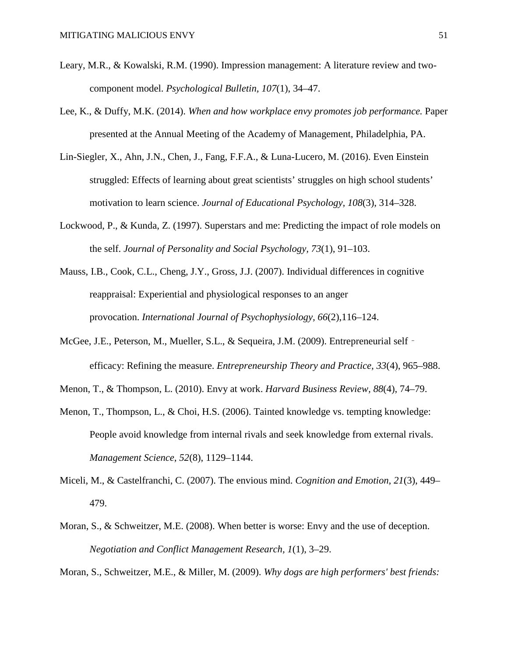- Leary, M.R., & Kowalski, R.M. (1990). Impression management: A literature review and twocomponent model. *Psychological Bulletin, 107*(1), 34–47.
- Lee, K., & Duffy, M.K. (2014). *When and how workplace envy promotes job performance.* Paper presented at the Annual Meeting of the Academy of Management, Philadelphia, PA.
- Lin-Siegler, X., Ahn, J.N., Chen, J., Fang, F.F.A., & Luna-Lucero, M. (2016). Even Einstein struggled: Effects of learning about great scientists' struggles on high school students' motivation to learn science. *Journal of Educational Psychology, 108*(3), 314–328.
- Lockwood, P., & Kunda, Z. (1997). Superstars and me: Predicting the impact of role models on the self. *Journal of Personality and Social Psychology, 73*(1), 91–103.
- Mauss, I.B., Cook, C.L., Cheng, J.Y., Gross, J.J. (2007). Individual differences in cognitive reappraisal: Experiential and physiological responses to an anger provocation. *International Journal of Psychophysiology, 66*(2),116–124.
- McGee, J.E., Peterson, M., Mueller, S.L., & Sequeira, J.M. (2009). Entrepreneurial self efficacy: Refining the measure. *Entrepreneurship Theory and Practice, 33*(4), 965–988.
- Menon, T., & Thompson, L. (2010). Envy at work. *Harvard Business Review, 88*(4), 74–79.
- Menon, T., Thompson, L., & Choi, H.S. (2006). Tainted knowledge vs. tempting knowledge: People avoid knowledge from internal rivals and seek knowledge from external rivals. *Management Science, 52*(8), 1129–1144.
- Miceli, M., & Castelfranchi, C. (2007). The envious mind. *Cognition and Emotion, 21*(3), 449– 479.
- Moran, S., & Schweitzer, M.E. (2008). When better is worse: Envy and the use of deception. *Negotiation and Conflict Management Research, 1*(1), 3–29.
- Moran, S., Schweitzer, M.E., & Miller, M. (2009). *Why dogs are high performers' best friends:*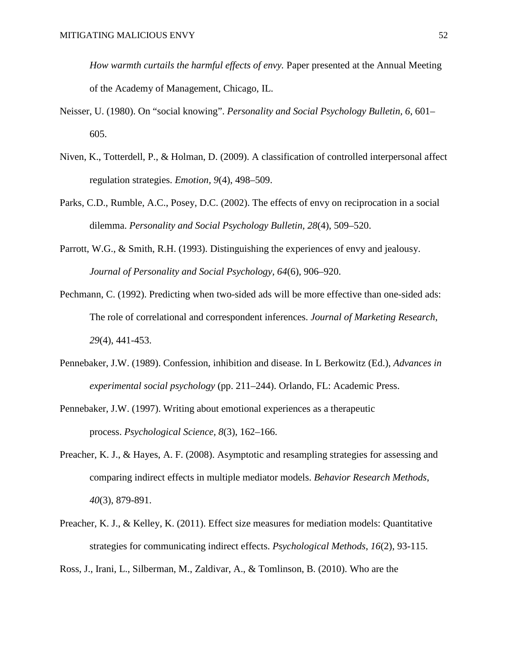*How warmth curtails the harmful effects of envy.* Paper presented at the Annual Meeting of the Academy of Management, Chicago, IL.

- Neisser, U. (1980). On "social knowing". *Personality and Social Psychology Bulletin, 6*, 601– 605.
- Niven, K., Totterdell, P., & Holman, D. (2009). A classification of controlled interpersonal affect regulation strategies. *Emotion, 9*(4), 498–509.
- Parks, C.D., Rumble, A.C., Posey, D.C. (2002). The effects of envy on reciprocation in a social dilemma. *Personality and Social Psychology Bulletin, 28*(4), 509–520.
- Parrott, W.G., & Smith, R.H. (1993). Distinguishing the experiences of envy and jealousy. *Journal of Personality and Social Psychology, 64*(6), 906–920.
- Pechmann, C. (1992). Predicting when two-sided ads will be more effective than one-sided ads: The role of correlational and correspondent inferences. *Journal of Marketing Research*, *29*(4), 441-453.
- Pennebaker, J.W. (1989). Confession, inhibition and disease. In L Berkowitz (Ed.), *Advances in experimental social psychology* (pp. 211–244). Orlando, FL: Academic Press.
- Pennebaker, J.W. (1997). Writing about emotional experiences as a therapeutic process. *Psychological Science, 8*(3), 162–166.
- Preacher, K. J., & Hayes, A. F. (2008). Asymptotic and resampling strategies for assessing and comparing indirect effects in multiple mediator models. *Behavior Research Methods*, *40*(3), 879-891.
- Preacher, K. J., & Kelley, K. (2011). Effect size measures for mediation models: Quantitative strategies for communicating indirect effects. *Psychological Methods*, *16*(2), 93-115.

Ross, J., Irani, L., Silberman, M., Zaldivar, A., & Tomlinson, B. (2010). Who are the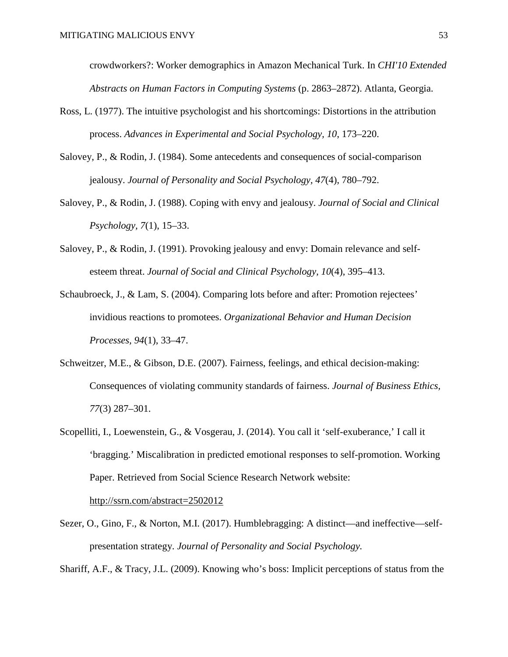crowdworkers?: Worker demographics in Amazon Mechanical Turk. In *CHI'10 Extended Abstracts on Human Factors in Computing Systems* (p. 2863–2872). Atlanta, Georgia.

- Ross, L. (1977). The intuitive psychologist and his shortcomings: Distortions in the attribution process. *Advances in Experimental and Social Psychology, 10*, 173–220.
- Salovey, P., & Rodin, J. (1984). Some antecedents and consequences of social-comparison jealousy. *Journal of Personality and Social Psychology, 47*(4), 780–792.
- Salovey, P., & Rodin, J. (1988). Coping with envy and jealousy. *Journal of Social and Clinical Psychology, 7*(1), 15–33.
- Salovey, P., & Rodin, J. (1991). Provoking jealousy and envy: Domain relevance and selfesteem threat. *Journal of Social and Clinical Psychology, 10*(4), 395–413.
- Schaubroeck, J., & Lam, S. (2004). Comparing lots before and after: Promotion rejectees' invidious reactions to promotees. *Organizational Behavior and Human Decision Processes, 94*(1), 33–47.
- Schweitzer, M.E., & Gibson, D.E. (2007). Fairness, feelings, and ethical decision-making: Consequences of violating community standards of fairness. *Journal of Business Ethics, 77*(3) 287–301.
- Scopelliti, I., Loewenstein, G., & Vosgerau, J. (2014). You call it 'self-exuberance,' I call it 'bragging.' Miscalibration in predicted emotional responses to self-promotion. Working Paper. Retrieved from Social Science Research Network website:

http://ssrn.com/abstract=2502012

Sezer, O., Gino, F., & Norton, M.I. (2017). Humblebragging: A distinct—and ineffective—selfpresentation strategy. *Journal of Personality and Social Psychology.*

Shariff, A.F., & Tracy, J.L. (2009). Knowing who's boss: Implicit perceptions of status from the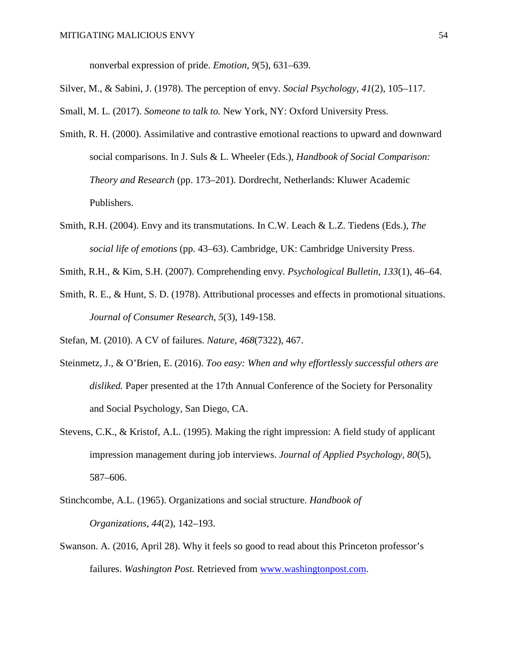nonverbal expression of pride. *Emotion, 9*(5), 631–639.

Silver, M., & Sabini, J. (1978). The perception of envy. *Social Psychology, 41*(2), 105–117.

Small, M. L. (2017). *Someone to talk to.* New York, NY: Oxford University Press.

- Smith, R. H. (2000). Assimilative and contrastive emotional reactions to upward and downward social comparisons. In J. Suls & L. Wheeler (Eds.), *Handbook of Social Comparison: Theory and Research* (pp. 173–201). Dordrecht, Netherlands: Kluwer Academic Publishers.
- Smith, R.H. (2004). Envy and its transmutations. In C.W. Leach & L.Z. Tiedens (Eds.), *The social life of emotions* (pp. 43–63). Cambridge, UK: Cambridge University Press.
- Smith, R.H., & Kim, S.H. (2007). Comprehending envy. *Psychological Bulletin, 133*(1), 46–64.
- Smith, R. E., & Hunt, S. D. (1978). Attributional processes and effects in promotional situations. *Journal of Consumer Research*, *5*(3), 149-158.
- Stefan, M. (2010). A CV of failures. *Nature, 468*(7322), 467.
- Steinmetz, J., & O'Brien, E. (2016). *Too easy: When and why effortlessly successful others are disliked.* Paper presented at the 17th Annual Conference of the Society for Personality and Social Psychology, San Diego, CA.
- Stevens, C.K., & Kristof, A.L. (1995). Making the right impression: A field study of applicant impression management during job interviews. *Journal of Applied Psychology, 80*(5), 587–606.
- Stinchcombe, A.L. (1965). Organizations and social structure. *Handbook of Organizations, 44*(2), 142–193.
- Swanson. A. (2016, April 28). Why it feels so good to read about this Princeton professor's failures. *Washington Post.* Retrieved from [www.washingtonpost.com.](http://www.washingtonpost.com/)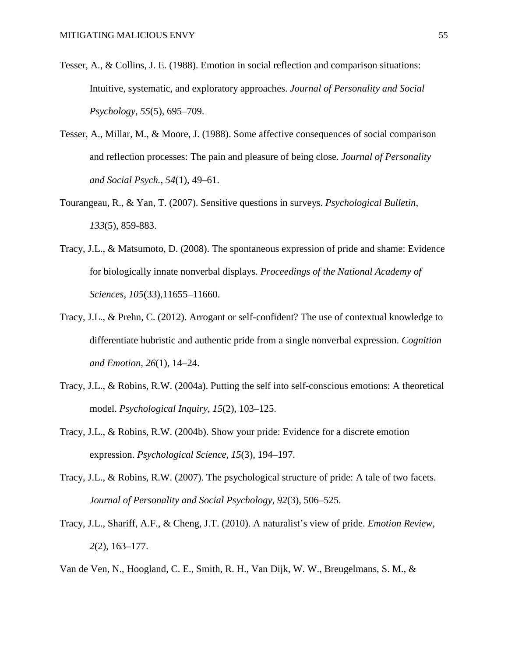- Tesser, A., & Collins, J. E. (1988). Emotion in social reflection and comparison situations: Intuitive, systematic, and exploratory approaches. *Journal of Personality and Social Psychology*, *55*(5), 695–709.
- Tesser, A., Millar, M., & Moore, J. (1988). Some affective consequences of social comparison and reflection processes: The pain and pleasure of being close. *Journal of Personality and Social Psych., 54*(1), 49–61.
- Tourangeau, R., & Yan, T. (2007). Sensitive questions in surveys. *Psychological Bulletin*, *133*(5), 859-883.
- Tracy, J.L., & Matsumoto, D. (2008). The spontaneous expression of pride and shame: Evidence for biologically innate nonverbal displays. *Proceedings of the National Academy of Sciences, 105*(33),11655–11660.
- Tracy, J.L., & Prehn, C. (2012). Arrogant or self-confident? The use of contextual knowledge to differentiate hubristic and authentic pride from a single nonverbal expression. *Cognition and Emotion, 26*(1), 14–24.
- Tracy, J.L., & Robins, R.W. (2004a). Putting the self into self-conscious emotions: A theoretical model. *Psychological Inquiry, 15*(2), 103–125.
- Tracy, J.L., & Robins, R.W. (2004b). Show your pride: Evidence for a discrete emotion expression. *Psychological Science, 15*(3), 194–197.
- Tracy, J.L., & Robins, R.W. (2007). The psychological structure of pride: A tale of two facets. *Journal of Personality and Social Psychology, 92*(3), 506–525.
- Tracy, J.L., Shariff, A.F., & Cheng, J.T. (2010). A naturalist's view of pride. *Emotion Review, 2*(2), 163–177.
- Van de Ven, N., Hoogland, C. E., Smith, R. H., Van Dijk, W. W., Breugelmans, S. M., &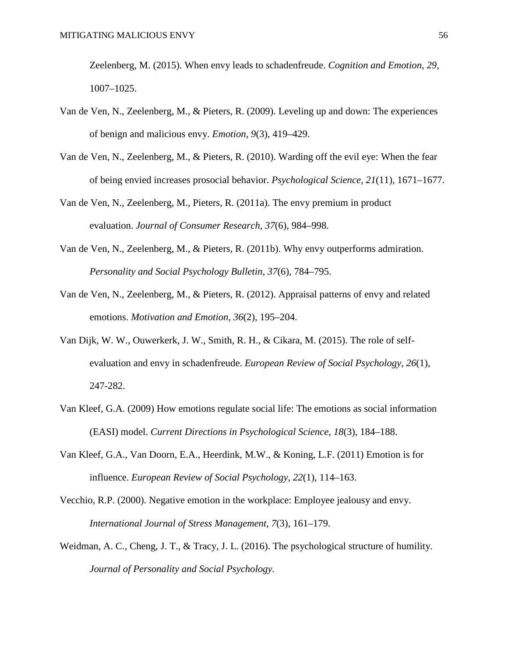Zeelenberg, M. (2015). When envy leads to schadenfreude. *Cognition and Emotion*, *29*, 1007–1025.

- Van de Ven, N., Zeelenberg, M., & Pieters, R. (2009). Leveling up and down: The experiences of benign and malicious envy. *Emotion, 9*(3), 419–429.
- Van de Ven, N., Zeelenberg, M., & Pieters, R. (2010). Warding off the evil eye: When the fear of being envied increases prosocial behavior. *Psychological Science, 21*(11), 1671–1677.
- Van de Ven, N., Zeelenberg, M., Pieters, R. (2011a). The envy premium in product evaluation. *Journal of Consumer Research, 37*(6), 984–998.
- Van de Ven, N., Zeelenberg, M., & Pieters, R. (2011b). Why envy outperforms admiration. *Personality and Social Psychology Bulletin, 37*(6), 784–795.
- Van de Ven, N., Zeelenberg, M., & Pieters, R. (2012). Appraisal patterns of envy and related emotions. *Motivation and Emotion, 36*(2), 195–204.
- Van Dijk, W. W., Ouwerkerk, J. W., Smith, R. H., & Cikara, M. (2015). The role of selfevaluation and envy in schadenfreude. *European Review of Social Psychology*, *26*(1), 247-282.
- Van Kleef, G.A. (2009) How emotions regulate social life: The emotions as social information (EASI) model. *Current Directions in Psychological Science, 18*(3), 184–188.
- Van Kleef, G.A., Van Doorn, E.A., Heerdink, M.W., & Koning, L.F. (2011) Emotion is for influence. *European Review of Social Psychology, 22*(1), 114–163.
- Vecchio, R.P. (2000). Negative emotion in the workplace: Employee jealousy and envy. *International Journal of Stress Management, 7*(3), 161–179.
- Weidman, A. C., Cheng, J. T., & Tracy, J. L. (2016). The psychological structure of humility. *Journal of Personality and Social Psychology.*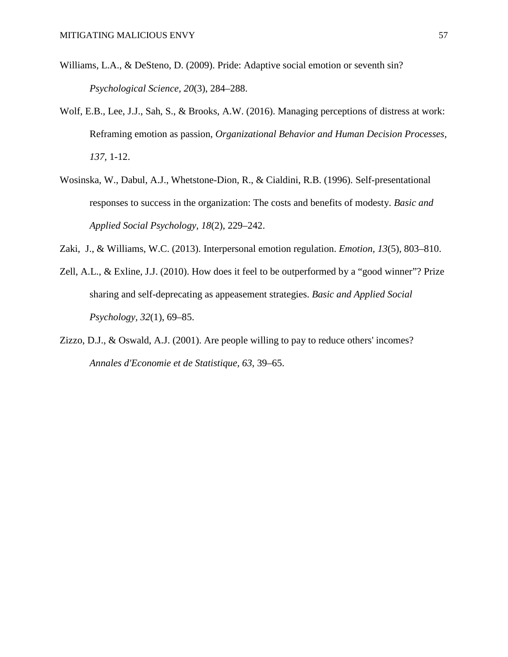- Williams, L.A., & DeSteno, D. (2009). Pride: Adaptive social emotion or seventh sin? *Psychological Science, 20*(3), 284–288.
- Wolf, E.B., Lee, J.J., Sah, S., & Brooks, A.W. (2016). Managing perceptions of distress at work: Reframing emotion as passion, *Organizational Behavior and Human Decision Processes, 137,* 1-12.
- Wosinska, W., Dabul, A.J., Whetstone-Dion, R., & Cialdini, R.B. (1996). Self-presentational responses to success in the organization: The costs and benefits of modesty. *Basic and Applied Social Psychology, 18*(2), 229–242.
- Zaki, J., & Williams, W.C. (2013). Interpersonal emotion regulation. *Emotion, 13*(5), 803–810.
- Zell, A.L., & Exline, J.J. (2010). How does it feel to be outperformed by a "good winner"? Prize sharing and self-deprecating as appeasement strategies. *Basic and Applied Social Psychology, 32*(1), 69–85.
- Zizzo, D.J., & Oswald, A.J. (2001). Are people willing to pay to reduce others' incomes? *Annales d'Economie et de Statistique, 63*, 39–65.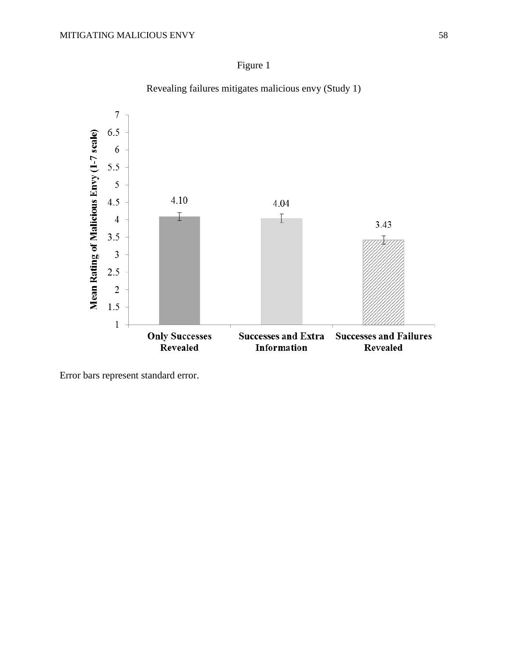



**Successes and Extra** 

Information

**Successes and Failures** 

Revealed

Revealing failures mitigates malicious envy (Study 1)

Error bars represent standard error.

**Only Successes<br>Revealed** 

 $1.5$ 

 $\,1$ 

Mean Rating of Malicious Envy (1-7 scale)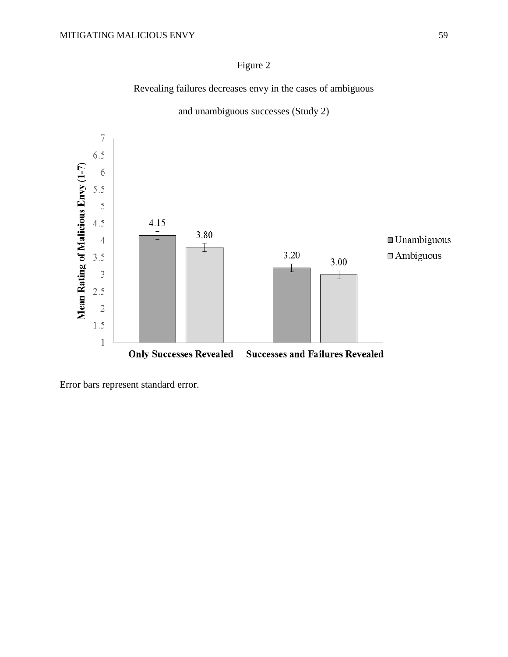# Figure 2

Revealing failures decreases envy in the cases of ambiguous



and unambiguous successes (Study 2)

Error bars represent standard error.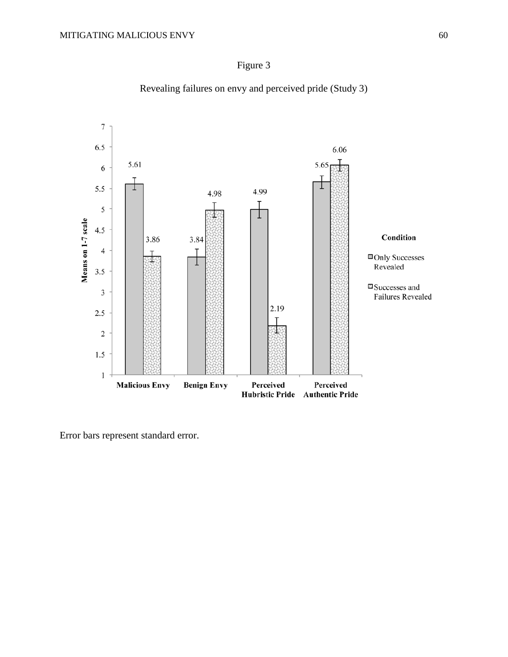

Revealing failures on envy and perceived pride (Study 3)



Error bars represent standard error.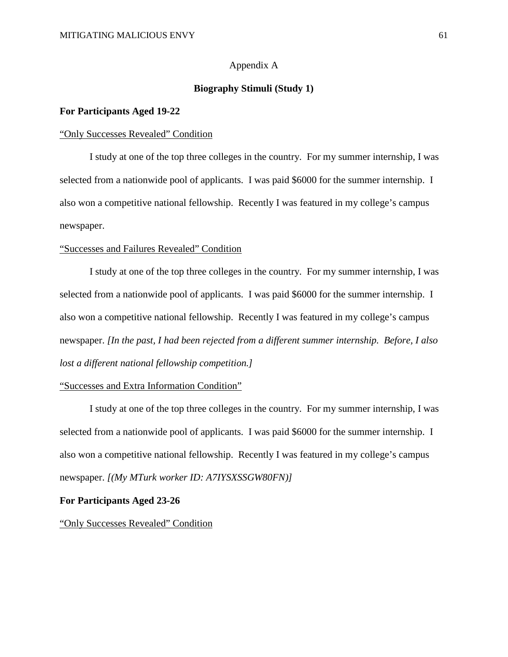# Appendix A

# **Biography Stimuli (Study 1)**

## **For Participants Aged 19-22**

#### "Only Successes Revealed" Condition

I study at one of the top three colleges in the country. For my summer internship, I was selected from a nationwide pool of applicants. I was paid \$6000 for the summer internship. I also won a competitive national fellowship. Recently I was featured in my college's campus newspaper.

## "Successes and Failures Revealed" Condition

I study at one of the top three colleges in the country. For my summer internship, I was selected from a nationwide pool of applicants. I was paid \$6000 for the summer internship. I also won a competitive national fellowship. Recently I was featured in my college's campus newspaper. *[In the past, I had been rejected from a different summer internship. Before, I also lost a different national fellowship competition.]*

#### "Successes and Extra Information Condition"

I study at one of the top three colleges in the country. For my summer internship, I was selected from a nationwide pool of applicants. I was paid \$6000 for the summer internship. I also won a competitive national fellowship. Recently I was featured in my college's campus newspaper. *[(My MTurk worker ID: A7IYSXSSGW80FN)]*

#### **For Participants Aged 23-26**

"Only Successes Revealed" Condition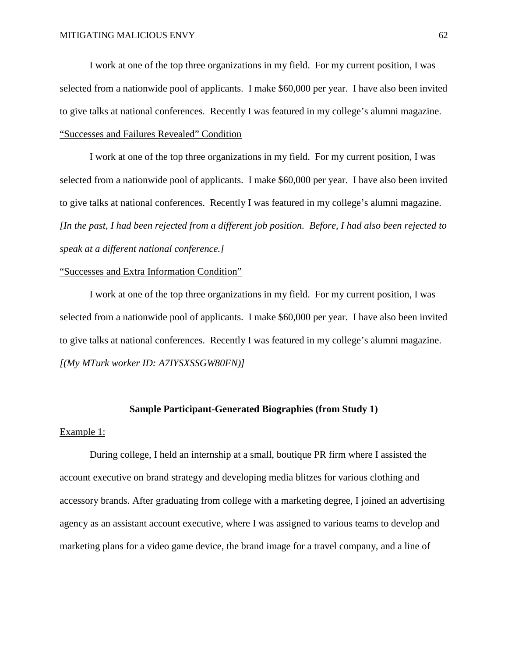I work at one of the top three organizations in my field. For my current position, I was selected from a nationwide pool of applicants. I make \$60,000 per year. I have also been invited to give talks at national conferences. Recently I was featured in my college's alumni magazine. "Successes and Failures Revealed" Condition

I work at one of the top three organizations in my field. For my current position, I was selected from a nationwide pool of applicants. I make \$60,000 per year. I have also been invited to give talks at national conferences. Recently I was featured in my college's alumni magazine. *[In the past, I had been rejected from a different job position. Before, I had also been rejected to speak at a different national conference.]*

## "Successes and Extra Information Condition"

I work at one of the top three organizations in my field. For my current position, I was selected from a nationwide pool of applicants. I make \$60,000 per year. I have also been invited to give talks at national conferences. Recently I was featured in my college's alumni magazine. *[(My MTurk worker ID: A7IYSXSSGW80FN)]*

## **Sample Participant-Generated Biographies (from Study 1)**

#### Example 1:

During college, I held an internship at a small, boutique PR firm where I assisted the account executive on brand strategy and developing media blitzes for various clothing and accessory brands. After graduating from college with a marketing degree, I joined an advertising agency as an assistant account executive, where I was assigned to various teams to develop and marketing plans for a video game device, the brand image for a travel company, and a line of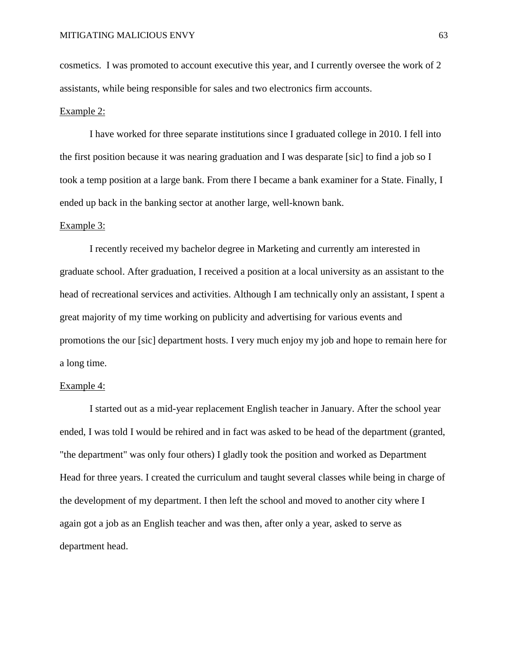cosmetics. I was promoted to account executive this year, and I currently oversee the work of 2 assistants, while being responsible for sales and two electronics firm accounts.

## Example 2:

I have worked for three separate institutions since I graduated college in 2010. I fell into the first position because it was nearing graduation and I was desparate [sic] to find a job so I took a temp position at a large bank. From there I became a bank examiner for a State. Finally, I ended up back in the banking sector at another large, well-known bank.

#### Example 3:

I recently received my bachelor degree in Marketing and currently am interested in graduate school. After graduation, I received a position at a local university as an assistant to the head of recreational services and activities. Although I am technically only an assistant, I spent a great majority of my time working on publicity and advertising for various events and promotions the our [sic] department hosts. I very much enjoy my job and hope to remain here for a long time.

## Example 4:

I started out as a mid-year replacement English teacher in January. After the school year ended, I was told I would be rehired and in fact was asked to be head of the department (granted, "the department" was only four others) I gladly took the position and worked as Department Head for three years. I created the curriculum and taught several classes while being in charge of the development of my department. I then left the school and moved to another city where I again got a job as an English teacher and was then, after only a year, asked to serve as department head.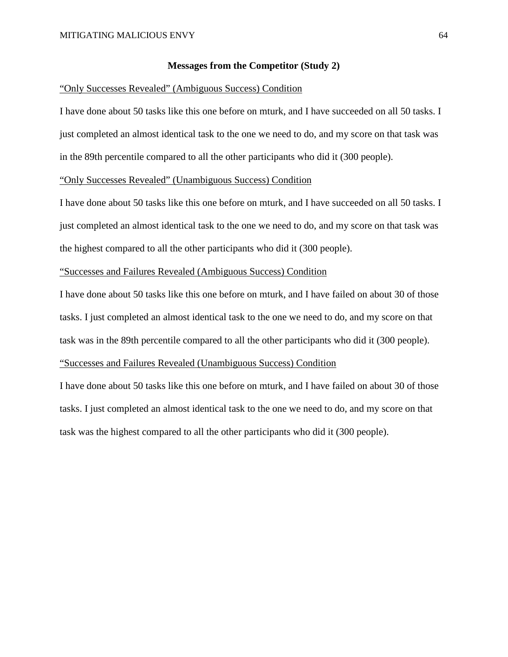## **Messages from the Competitor (Study 2)**

#### "Only Successes Revealed" (Ambiguous Success) Condition

I have done about 50 tasks like this one before on mturk, and I have succeeded on all 50 tasks. I just completed an almost identical task to the one we need to do, and my score on that task was in the 89th percentile compared to all the other participants who did it (300 people).

## "Only Successes Revealed" (Unambiguous Success) Condition

I have done about 50 tasks like this one before on mturk, and I have succeeded on all 50 tasks. I just completed an almost identical task to the one we need to do, and my score on that task was the highest compared to all the other participants who did it (300 people).

# "Successes and Failures Revealed (Ambiguous Success) Condition

I have done about 50 tasks like this one before on mturk, and I have failed on about 30 of those tasks. I just completed an almost identical task to the one we need to do, and my score on that task was in the 89th percentile compared to all the other participants who did it (300 people). "Successes and Failures Revealed (Unambiguous Success) Condition

I have done about 50 tasks like this one before on mturk, and I have failed on about 30 of those tasks. I just completed an almost identical task to the one we need to do, and my score on that task was the highest compared to all the other participants who did it (300 people).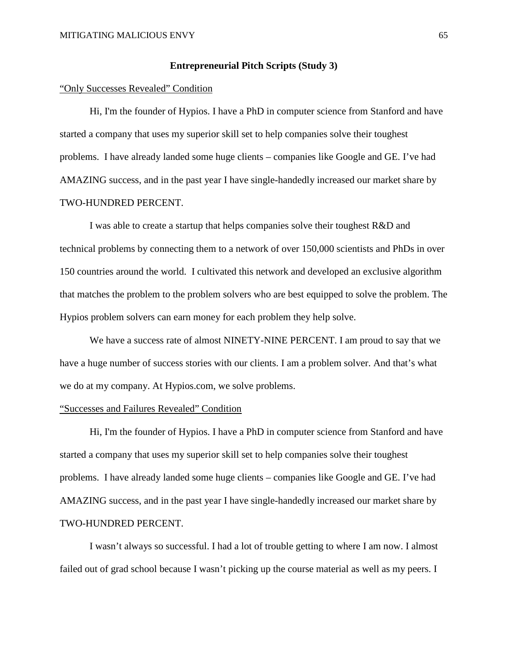#### **Entrepreneurial Pitch Scripts (Study 3)**

#### "Only Successes Revealed" Condition

Hi, I'm the founder of Hypios. I have a PhD in computer science from Stanford and have started a company that uses my superior skill set to help companies solve their toughest problems. I have already landed some huge clients – companies like Google and GE. I've had AMAZING success, and in the past year I have single-handedly increased our market share by TWO-HUNDRED PERCENT.

I was able to create a startup that helps companies solve their toughest R&D and technical problems by connecting them to a network of over 150,000 scientists and PhDs in over 150 countries around the world. I cultivated this network and developed an exclusive algorithm that matches the problem to the problem solvers who are best equipped to solve the problem. The Hypios problem solvers can earn money for each problem they help solve.

We have a success rate of almost NINETY-NINE PERCENT. I am proud to say that we have a huge number of success stories with our clients. I am a problem solver. And that's what we do at my company. At Hypios.com, we solve problems.

## "Successes and Failures Revealed" Condition

Hi, I'm the founder of Hypios. I have a PhD in computer science from Stanford and have started a company that uses my superior skill set to help companies solve their toughest problems. I have already landed some huge clients – companies like Google and GE. I've had AMAZING success, and in the past year I have single-handedly increased our market share by TWO-HUNDRED PERCENT.

I wasn't always so successful. I had a lot of trouble getting to where I am now. I almost failed out of grad school because I wasn't picking up the course material as well as my peers. I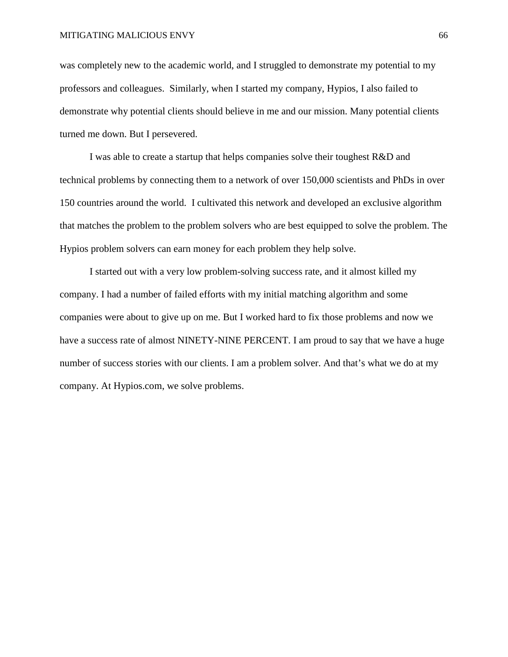was completely new to the academic world, and I struggled to demonstrate my potential to my professors and colleagues. Similarly, when I started my company, Hypios, I also failed to demonstrate why potential clients should believe in me and our mission. Many potential clients turned me down. But I persevered.

I was able to create a startup that helps companies solve their toughest R&D and technical problems by connecting them to a network of over 150,000 scientists and PhDs in over 150 countries around the world. I cultivated this network and developed an exclusive algorithm that matches the problem to the problem solvers who are best equipped to solve the problem. The Hypios problem solvers can earn money for each problem they help solve.

I started out with a very low problem-solving success rate, and it almost killed my company. I had a number of failed efforts with my initial matching algorithm and some companies were about to give up on me. But I worked hard to fix those problems and now we have a success rate of almost NINETY-NINE PERCENT. I am proud to say that we have a huge number of success stories with our clients. I am a problem solver. And that's what we do at my company. At Hypios.com, we solve problems.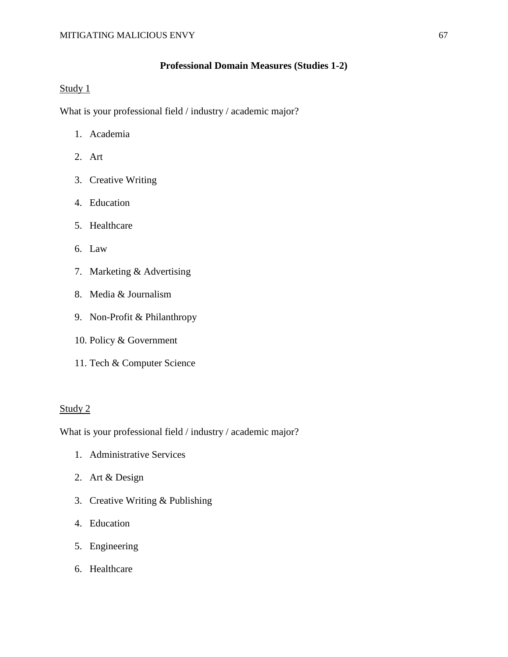# **Professional Domain Measures (Studies 1-2)**

# Study 1

What is your professional field / industry / academic major?

- 1. Academia
- 2. Art
- 3. Creative Writing
- 4. Education
- 5. Healthcare
- 6. Law
- 7. Marketing & Advertising
- 8. Media & Journalism
- 9. Non-Profit & Philanthropy
- 10. Policy & Government
- 11. Tech & Computer Science

## Study 2

What is your professional field / industry / academic major?

- 1. Administrative Services
- 2. Art & Design
- 3. Creative Writing & Publishing
- 4. Education
- 5. Engineering
- 6. Healthcare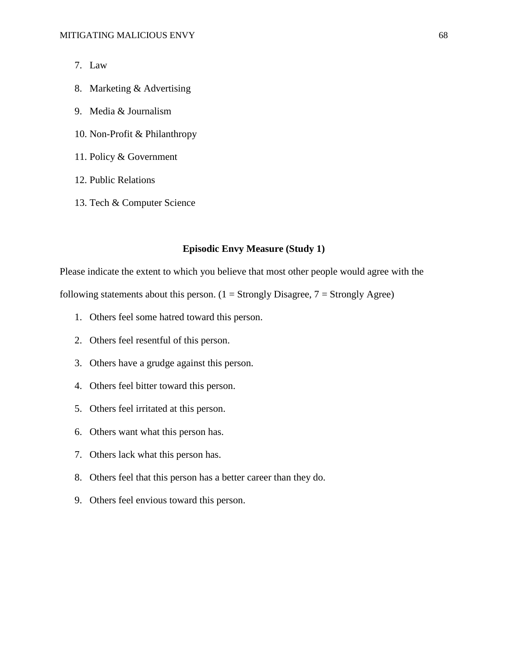- 7. Law
- 8. Marketing & Advertising
- 9. Media & Journalism
- 10. Non-Profit & Philanthropy
- 11. Policy & Government
- 12. Public Relations
- 13. Tech & Computer Science

## **Episodic Envy Measure (Study 1)**

Please indicate the extent to which you believe that most other people would agree with the following statements about this person.  $(1 =$  Strongly Disagree,  $7 =$  Strongly Agree)

- 1. Others feel some hatred toward this person.
- 2. Others feel resentful of this person.
- 3. Others have a grudge against this person.
- 4. Others feel bitter toward this person.
- 5. Others feel irritated at this person.
- 6. Others want what this person has.
- 7. Others lack what this person has.
- 8. Others feel that this person has a better career than they do.
- 9. Others feel envious toward this person.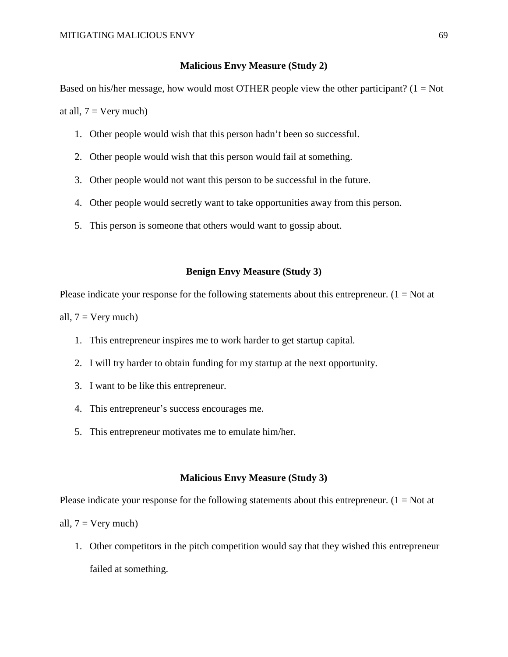### **Malicious Envy Measure (Study 2)**

Based on his/her message, how would most OTHER people view the other participant? ( $1 = Not$ at all,  $7 = \text{Very much}$ 

- 1. Other people would wish that this person hadn't been so successful.
- 2. Other people would wish that this person would fail at something.
- 3. Other people would not want this person to be successful in the future.
- 4. Other people would secretly want to take opportunities away from this person.
- 5. This person is someone that others would want to gossip about.

## **Benign Envy Measure (Study 3)**

Please indicate your response for the following statements about this entrepreneur.  $(1 = Not at$ 

all,  $7 = \text{Very much}$ )

- 1. This entrepreneur inspires me to work harder to get startup capital.
- 2. I will try harder to obtain funding for my startup at the next opportunity.
- 3. I want to be like this entrepreneur.
- 4. This entrepreneur's success encourages me.
- 5. This entrepreneur motivates me to emulate him/her.

### **Malicious Envy Measure (Study 3)**

Please indicate your response for the following statements about this entrepreneur.  $(1 = Not at$ all,  $7 = \text{Very much}$ )

1. Other competitors in the pitch competition would say that they wished this entrepreneur failed at something.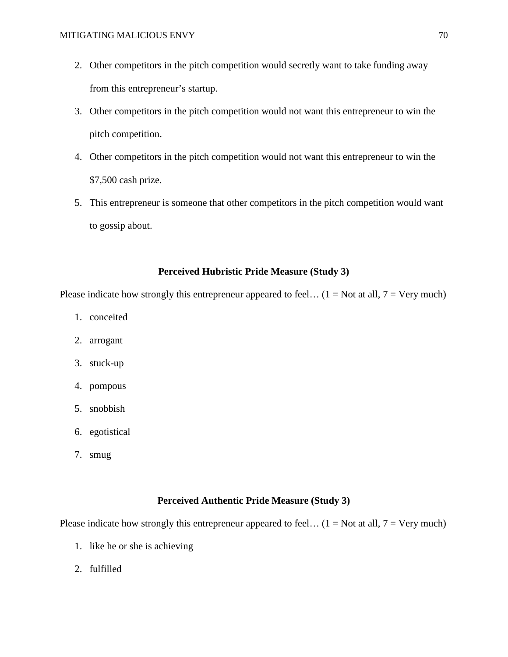- 2. Other competitors in the pitch competition would secretly want to take funding away from this entrepreneur's startup.
- 3. Other competitors in the pitch competition would not want this entrepreneur to win the pitch competition.
- 4. Other competitors in the pitch competition would not want this entrepreneur to win the \$7,500 cash prize.
- 5. This entrepreneur is someone that other competitors in the pitch competition would want to gossip about.

# **Perceived Hubristic Pride Measure (Study 3)**

Please indicate how strongly this entrepreneur appeared to feel...  $(1 = Not at all, 7 = Very much)$ 

- 1. conceited
- 2. arrogant
- 3. stuck-up
- 4. pompous
- 5. snobbish
- 6. egotistical
- 7. smug

## **Perceived Authentic Pride Measure (Study 3)**

Please indicate how strongly this entrepreneur appeared to feel...  $(1 = Not at all, 7 = Very much)$ 

- 1. like he or she is achieving
- 2. fulfilled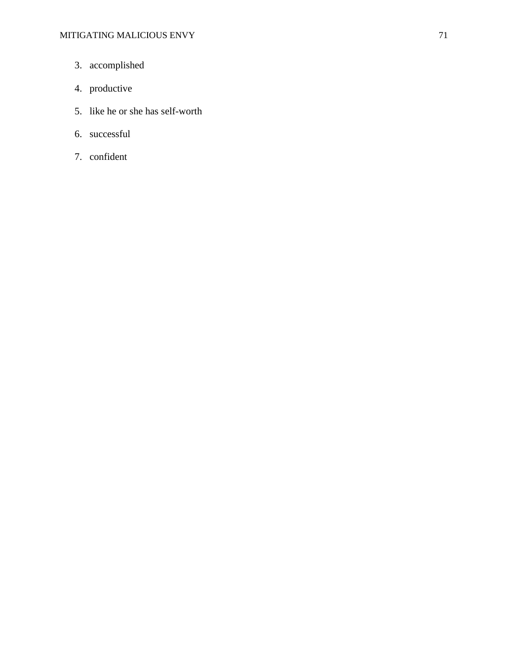- 3. accomplished
- 4. productive
- 5. like he or she has self-worth
- 6. successful
- 7. confident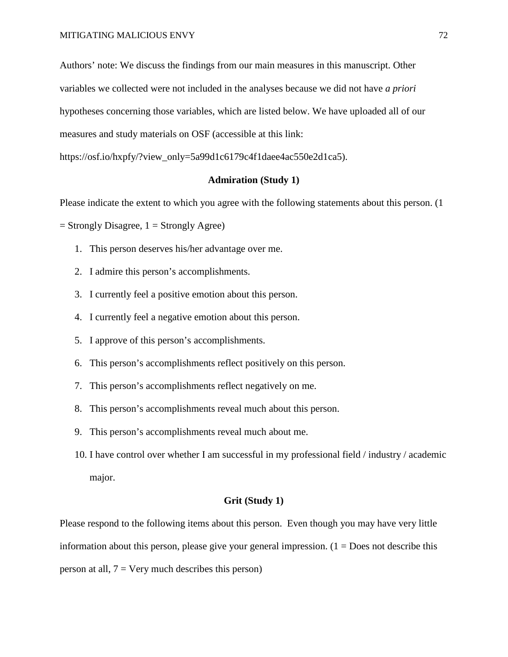Authors' note: We discuss the findings from our main measures in this manuscript. Other variables we collected were not included in the analyses because we did not have *a priori* hypotheses concerning those variables, which are listed below. We have uploaded all of our measures and study materials on OSF (accessible at this link:

https://osf.io/hxpfy/?view\_only=5a99d1c6179c4f1daee4ac550e2d1ca5).

### **Admiration (Study 1)**

Please indicate the extent to which you agree with the following statements about this person. (1

 $=$  Strongly Disagree,  $1 =$  Strongly Agree)

- 1. This person deserves his/her advantage over me.
- 2. I admire this person's accomplishments.
- 3. I currently feel a positive emotion about this person.
- 4. I currently feel a negative emotion about this person.
- 5. I approve of this person's accomplishments.
- 6. This person's accomplishments reflect positively on this person.
- 7. This person's accomplishments reflect negatively on me.
- 8. This person's accomplishments reveal much about this person.
- 9. This person's accomplishments reveal much about me.
- 10. I have control over whether I am successful in my professional field / industry / academic major.

#### **Grit (Study 1)**

Please respond to the following items about this person. Even though you may have very little information about this person, please give your general impression.  $(1 = Does not describe this)$ person at all,  $7 = \text{Very much describes this person}$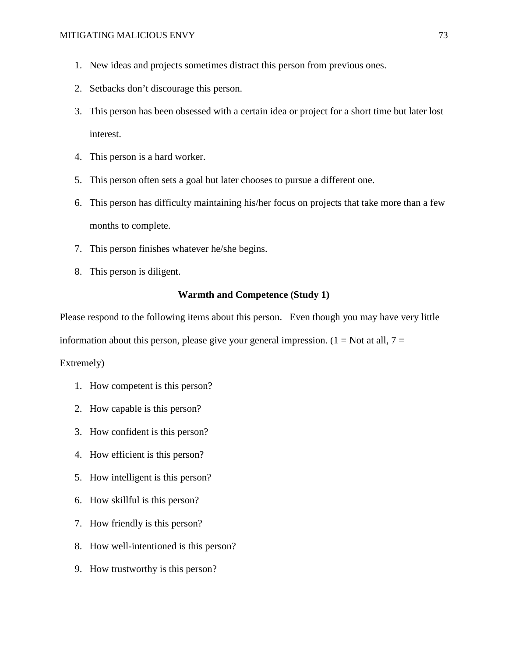- 1. New ideas and projects sometimes distract this person from previous ones.
- 2. Setbacks don't discourage this person.
- 3. This person has been obsessed with a certain idea or project for a short time but later lost interest.
- 4. This person is a hard worker.
- 5. This person often sets a goal but later chooses to pursue a different one.
- 6. This person has difficulty maintaining his/her focus on projects that take more than a few months to complete.
- 7. This person finishes whatever he/she begins.
- 8. This person is diligent.

#### **Warmth and Competence (Study 1)**

Please respond to the following items about this person. Even though you may have very little

information about this person, please give your general impression.  $(1 = Not at all, 7 =$ 

Extremely)

- 1. How competent is this person?
- 2. How capable is this person?
- 3. How confident is this person?
- 4. How efficient is this person?
- 5. How intelligent is this person?
- 6. How skillful is this person?
- 7. How friendly is this person?
- 8. How well-intentioned is this person?
- 9. How trustworthy is this person?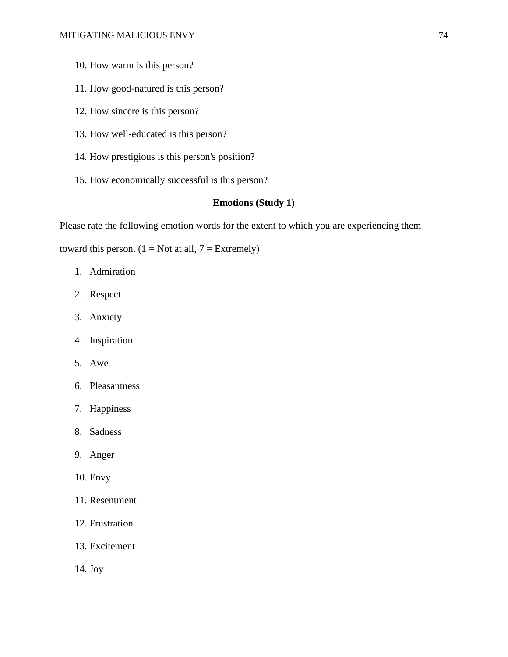- 10. How warm is this person?
- 11. How good-natured is this person?
- 12. How sincere is this person?
- 13. How well-educated is this person?
- 14. How prestigious is this person's position?
- 15. How economically successful is this person?

# **Emotions (Study 1)**

Please rate the following emotion words for the extent to which you are experiencing them

toward this person.  $(1 = Not at all, 7 = Extremely)$ 

- 1. Admiration
- 2. Respect
- 3. Anxiety
- 4. Inspiration
- 5. Awe
- 6. Pleasantness
- 7. Happiness
- 8. Sadness
- 9. Anger
- 10. Envy
- 11. Resentment
- 12. Frustration
- 13. Excitement
- 14. Joy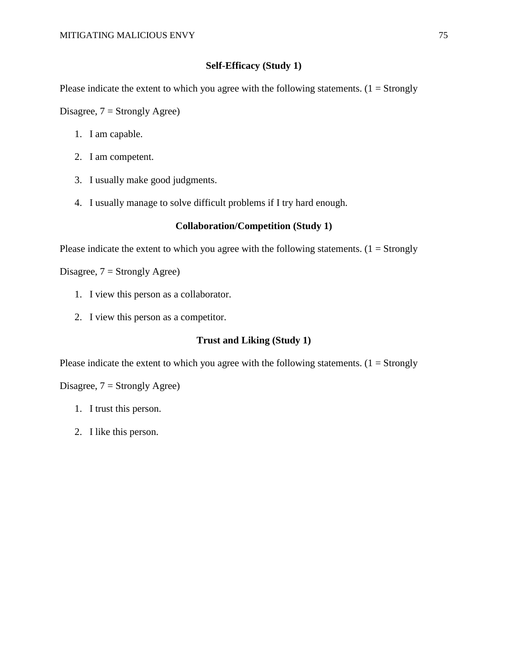# **Self-Efficacy (Study 1)**

Please indicate the extent to which you agree with the following statements.  $(1 = \text{Strongly})$ 

Disagree,  $7 =$  Strongly Agree)

- 1. I am capable.
- 2. I am competent.
- 3. I usually make good judgments.
- 4. I usually manage to solve difficult problems if I try hard enough.

## **Collaboration/Competition (Study 1)**

Please indicate the extent to which you agree with the following statements.  $(1 = \text{Strongly})$ 

Disagree,  $7 =$  Strongly Agree)

- 1. I view this person as a collaborator.
- 2. I view this person as a competitor.

# **Trust and Liking (Study 1)**

Please indicate the extent to which you agree with the following statements.  $(1 =$  Strongly

Disagree,  $7 =$  Strongly Agree)

- 1. I trust this person.
- 2. I like this person.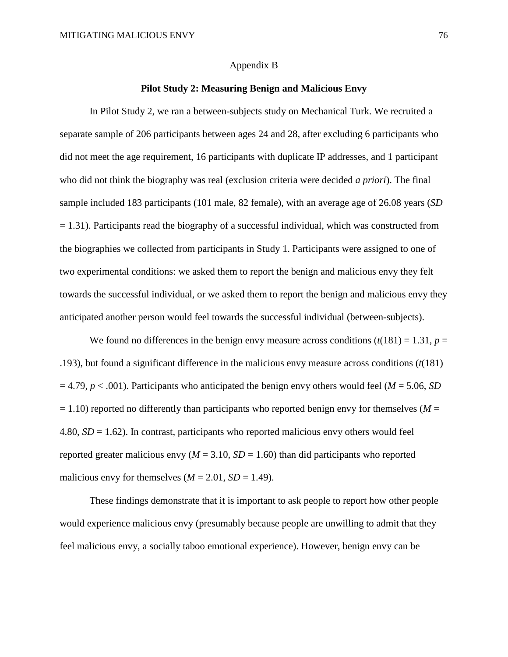#### Appendix B

### **Pilot Study 2: Measuring Benign and Malicious Envy**

In Pilot Study 2, we ran a between-subjects study on Mechanical Turk. We recruited a separate sample of 206 participants between ages 24 and 28, after excluding 6 participants who did not meet the age requirement, 16 participants with duplicate IP addresses, and 1 participant who did not think the biography was real (exclusion criteria were decided *a priori*). The final sample included 183 participants (101 male, 82 female), with an average age of 26.08 years (*SD*  $= 1.31$ ). Participants read the biography of a successful individual, which was constructed from the biographies we collected from participants in Study 1. Participants were assigned to one of two experimental conditions: we asked them to report the benign and malicious envy they felt towards the successful individual, or we asked them to report the benign and malicious envy they anticipated another person would feel towards the successful individual (between-subjects).

We found no differences in the benign envy measure across conditions  $(t(181) = 1.31, p =$ .193), but found a significant difference in the malicious envy measure across conditions (*t*(181)  $= 4.79$ ,  $p < .001$ ). Participants who anticipated the benign envy others would feel (*M* = 5.06, *SD*)  $= 1.10$ ) reported no differently than participants who reported benign envy for themselves ( $M =$ 4.80, *SD* = 1.62). In contrast, participants who reported malicious envy others would feel reported greater malicious envy  $(M = 3.10, SD = 1.60)$  than did participants who reported malicious envy for themselves  $(M = 2.01, SD = 1.49)$ .

These findings demonstrate that it is important to ask people to report how other people would experience malicious envy (presumably because people are unwilling to admit that they feel malicious envy, a socially taboo emotional experience). However, benign envy can be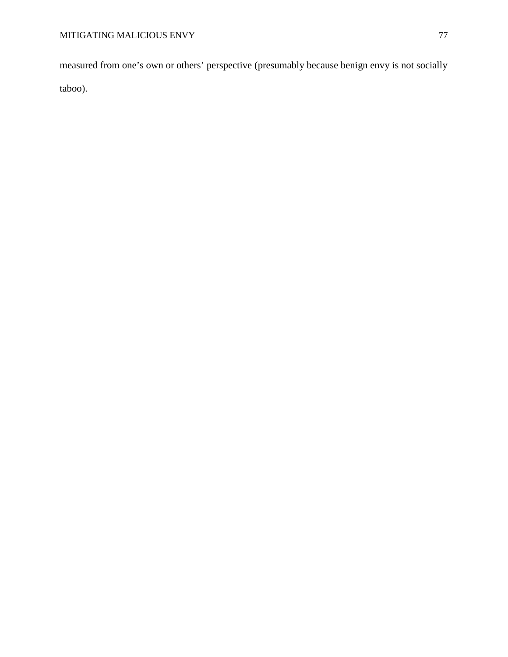measured from one's own or others' perspective (presumably because benign envy is not socially taboo).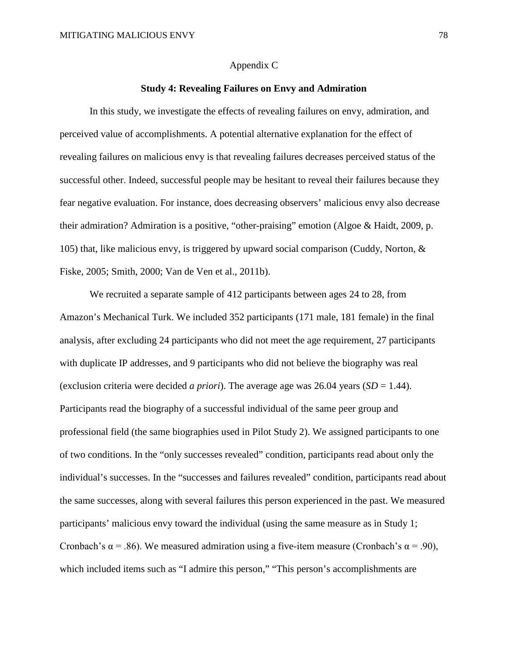#### Appendix C

### **Study 4: Revealing Failures on Envy and Admiration**

In this study, we investigate the effects of revealing failures on envy, admiration, and perceived value of accomplishments. A potential alternative explanation for the effect of revealing failures on malicious envy is that revealing failures decreases perceived status of the successful other. Indeed, successful people may be hesitant to reveal their failures because they fear negative evaluation. For instance, does decreasing observers' malicious envy also decrease their admiration? Admiration is a positive, "other-praising" emotion (Algoe & Haidt, 2009, p. 105) that, like malicious envy, is triggered by upward social comparison (Cuddy, Norton, & Fiske, 2005; Smith, 2000; Van de Ven et al., 2011b).

We recruited a separate sample of 412 participants between ages 24 to 28, from Amazon's Mechanical Turk. We included 352 participants (171 male, 181 female) in the final analysis, after excluding 24 participants who did not meet the age requirement, 27 participants with duplicate IP addresses, and 9 participants who did not believe the biography was real (exclusion criteria were decided *a priori*). The average age was 26.04 years (*SD* = 1.44). Participants read the biography of a successful individual of the same peer group and professional field (the same biographies used in Pilot Study 2). We assigned participants to one of two conditions. In the "only successes revealed" condition, participants read about only the individual's successes. In the "successes and failures revealed" condition, participants read about the same successes, along with several failures this person experienced in the past. We measured participants' malicious envy toward the individual (using the same measure as in Study 1; Cronbach's  $\alpha$  = .86). We measured admiration using a five-item measure (Cronbach's  $\alpha$  = .90), which included items such as "I admire this person," "This person's accomplishments are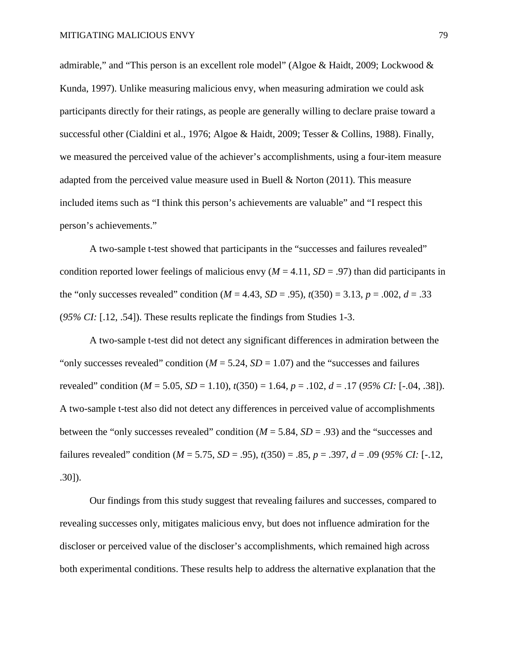admirable," and "This person is an excellent role model" (Algoe & Haidt, 2009; Lockwood & Kunda, 1997). Unlike measuring malicious envy, when measuring admiration we could ask participants directly for their ratings, as people are generally willing to declare praise toward a successful other (Cialdini et al., 1976; Algoe & Haidt, 2009; Tesser & Collins, 1988). Finally, we measured the perceived value of the achiever's accomplishments, using a four-item measure adapted from the perceived value measure used in Buell & Norton (2011). This measure included items such as "I think this person's achievements are valuable" and "I respect this person's achievements."

A two-sample t-test showed that participants in the "successes and failures revealed" condition reported lower feelings of malicious envy ( $M = 4.11$ ,  $SD = .97$ ) than did participants in the "only successes revealed" condition ( $M = 4.43$ ,  $SD = .95$ ),  $t(350) = 3.13$ ,  $p = .002$ ,  $d = .33$ (*95% CI:* [.12, .54]). These results replicate the findings from Studies 1-3.

A two-sample t-test did not detect any significant differences in admiration between the "only successes revealed" condition  $(M = 5.24, SD = 1.07)$  and the "successes and failures" revealed" condition ( $M = 5.05$ ,  $SD = 1.10$ ),  $t(350) = 1.64$ ,  $p = .102$ ,  $d = .17$  (95% CI: [-.04, .38]). A two-sample t-test also did not detect any differences in perceived value of accomplishments between the "only successes revealed" condition (*M* = 5.84, *SD* = .93) and the "successes and failures revealed" condition ( $M = 5.75$ ,  $SD = .95$ ),  $t(350) = .85$ ,  $p = .397$ ,  $d = .09$  (95% CI: [-.12, .30]).

Our findings from this study suggest that revealing failures and successes, compared to revealing successes only, mitigates malicious envy, but does not influence admiration for the discloser or perceived value of the discloser's accomplishments, which remained high across both experimental conditions. These results help to address the alternative explanation that the